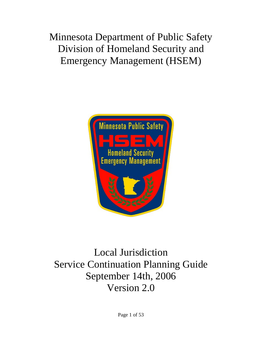# Minnesota Department of Public Safety Division of Homeland Security and Emergency Management (HSEM)



# Local Jurisdiction Service Continuation Planning Guide September 14th, 2006 Version 2.0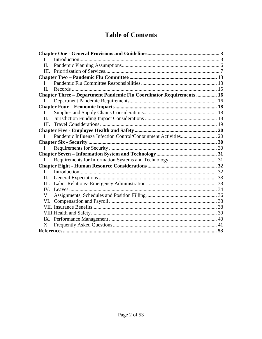## **Table of Contents**

| $\mathbf{L}$ |                                                                             |  |
|--------------|-----------------------------------------------------------------------------|--|
| II.          |                                                                             |  |
|              |                                                                             |  |
|              |                                                                             |  |
| $\mathbf{I}$ |                                                                             |  |
| $\Pi$ .      |                                                                             |  |
|              | <b>Chapter Three - Department Pandemic Flu Coordinator Requirements  16</b> |  |
| L.           |                                                                             |  |
|              |                                                                             |  |
| L.           |                                                                             |  |
| II.          |                                                                             |  |
| III.         |                                                                             |  |
|              |                                                                             |  |
| $\mathbf{I}$ |                                                                             |  |
|              |                                                                             |  |
| I.           |                                                                             |  |
|              |                                                                             |  |
| I.           |                                                                             |  |
|              |                                                                             |  |
| $\mathbf{L}$ |                                                                             |  |
| II.          |                                                                             |  |
| HI.          |                                                                             |  |
|              |                                                                             |  |
| V.           |                                                                             |  |
| VI.          |                                                                             |  |
|              |                                                                             |  |
|              |                                                                             |  |
|              |                                                                             |  |
| X.           |                                                                             |  |
|              |                                                                             |  |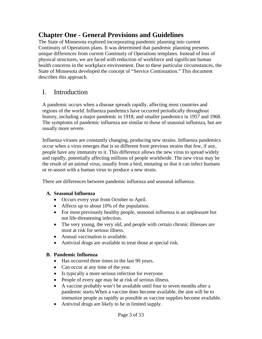### <span id="page-2-0"></span>**Chapter One - General Provisions and Guidelines**

The State of Minnesota explored incorporating pandemic planning into current Continuity of Operations plans. It was determined that pandemic planning presents unique differences from current Continuity of Operations templates. Instead of loss of physical structures, we are faced with reduction of workforce and significant human health concerns in the workplace environment. Due to these particular circumstances, the State of Minnesota developed the concept of "Service Continuation." This document describes this approach.

### I. Introduction

A pandemic occurs when a disease spreads rapidly, affecting most countries and regions of the world. Influenza pandemics have occurred periodically throughout history, including a major pandemic in 1918, and smaller pandemics in 1957 and 1968. The symptoms of pandemic influenza are similar to those of seasonal influenza, but are usually more severe.

Influenza viruses are constantly changing, producing new strains. Influenza pandemics occur when a virus emerges that is so different from previous strains that few, if any, people have any immunity to it. This difference allows the new virus to spread widely and rapidly, potentially affecting millions of people worldwide. The new virus may be the result of an animal virus, usually from a bird, mutating so that it can infect humans or re-assort with a human virus to produce a new strain.

There are differences between pandemic influenza and seasonal influenza.

#### **A. Seasonal Influenza**

- Occurs every year from October to April.
- Affects up to about 10% of the population.
- For most previously healthy people, seasonal influenza is an unpleasant but not life-threatening infection.
- The very young, the very old, and people with certain chronic illnesses are most at risk for serious illness.
- Annual vaccination is available.
- Antiviral drugs are available to treat those at special risk.

#### **B. Pandemic Influenza**

- Has occurred three times in the last 90 years.
- Can occur at any time of the year.
- Is typically a more serious infection for everyone.
- People of every age may be at risk of serious illness.
- A vaccine probably won't be available until four to seven months after a pandemic starts.When a vaccine does become available, the aim will be to immunize people as rapidly as possible as vaccine supplies become available.
- Antiviral drugs are likely to be in limited supply.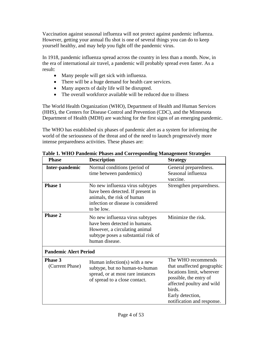Vaccination against seasonal influenza will not protect against pandemic influenza. However, getting your annual flu shot is one of several things you can do to keep yourself healthy, and may help you fight off the pandemic virus.

In 1918, pandemic influenza spread across the country in less than a month. Now, in the era of international air travel, a pandemic will probably spread even faster. As a result:

- Many people will get sick with influenza.
- There will be a huge demand for health care services.
- Many aspects of daily life will be disrupted.
- The overall workforce available will be reduced due to illness

The World Health Organization (WHO), Department of Health and Human Services (HHS), the Centers for Disease Control and Prevention (CDC), and the Minnesota Department of Health (MDH) are watching for the first signs of an emerging pandemic.

The WHO has established six phases of pandemic alert as a system for informing the world of the seriousness of the threat and of the need to launch progressively more intense preparedness activities. These phases are:

| <b>Phase</b>                 | <b>Description</b>                                                                                                                                         | <b>Strategy</b>                                                                                                                                                                                  |
|------------------------------|------------------------------------------------------------------------------------------------------------------------------------------------------------|--------------------------------------------------------------------------------------------------------------------------------------------------------------------------------------------------|
| Inter-pandemic               | Normal conditions (period of<br>time between pandemics)                                                                                                    | General preparedness.<br>Seasonal influenza<br>vaccine.                                                                                                                                          |
| <b>Phase 1</b>               | No new influenza virus subtypes<br>have been detected. If present in<br>animals, the risk of human<br>infection or disease is considered<br>to be low.     | Strengthen preparedness.                                                                                                                                                                         |
| <b>Phase 2</b>               | No new influenza virus subtypes<br>have been detected in humans.<br>However, a circulating animal<br>subtype poses a substantial risk of<br>human disease. | Minimize the risk.                                                                                                                                                                               |
| <b>Pandemic Alert Period</b> |                                                                                                                                                            |                                                                                                                                                                                                  |
| Phase 3<br>(Current Phase)   | Human infection(s) with a new<br>subtype, but no human-to-human<br>spread, or at most rare instances<br>of spread to a close contact.                      | The WHO recommends<br>that unaffected geographic<br>locations limit, wherever<br>possible, the entry of<br>affected poultry and wild<br>birds.<br>Early detection,<br>notification and response. |

**Table 1. WHO Pandemic Phases and Corresponding Management Strategies**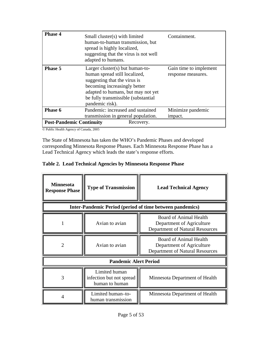| Phase 4                         | Small cluster(s) with limited<br>human-to-human transmission, but<br>spread is highly localized,<br>suggesting that the virus is not well<br>adapted to humans.                                                                   | Containment.                                 |
|---------------------------------|-----------------------------------------------------------------------------------------------------------------------------------------------------------------------------------------------------------------------------------|----------------------------------------------|
| <b>Phase 5</b>                  | Larger cluster(s) but human-to-<br>human spread still localized,<br>suggesting that the virus is<br>becoming increasingly better<br>adapted to humans, but may not yet<br>be fully transmissible (substantial)<br>pandemic risk). | Gain time to implement<br>response measures. |
| Phase 6                         | Pandemic: increased and sustained<br>transmission in general population.                                                                                                                                                          | Minimize pandemic<br>impact.                 |
| <b>Post-Pandemic Continuity</b> | Recovery.                                                                                                                                                                                                                         |                                              |

© Public Health Agency of Canada, 2005

The State of Minnesota has taken the WHO's Pandemic Phases and developed corresponding Minnesota Response Phases. Each Minnesota Response Phase has a Lead Technical Agency which leads the state's response efforts.

#### **Table 2. Lead Technical Agencies by Minnesota Response Phase**

| <b>Minnesota</b><br><b>Response Phase</b> | <b>Type of Transmission</b>                                 | <b>Lead Technical Agency</b>                                                                         |
|-------------------------------------------|-------------------------------------------------------------|------------------------------------------------------------------------------------------------------|
|                                           |                                                             | <b>Inter-Pandemic Period (period of time between pandemics)</b>                                      |
|                                           | Avian to avian                                              | <b>Board of Animal Health</b><br>Department of Agriculture<br>Department of Natural Resources        |
| 2                                         | Avian to avian                                              | <b>Board of Animal Health</b><br>Department of Agriculture<br><b>Department of Natural Resources</b> |
|                                           | <b>Pandemic Alert Period</b>                                |                                                                                                      |
| 3                                         | Limited human<br>infection but not spread<br>human to human | Minnesota Department of Health                                                                       |
| 4                                         | Limited human-to-<br>human transmission                     | Minnesota Department of Health                                                                       |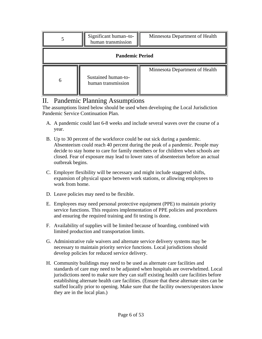<span id="page-5-0"></span>

| Significant human-to-<br>human transmission | Minnesota Department of Health |  |  |  |  |  |  |
|---------------------------------------------|--------------------------------|--|--|--|--|--|--|
| <b>Pandemic Period</b>                      |                                |  |  |  |  |  |  |
| Sustained human-to-<br>human transmission   | Minnesota Department of Health |  |  |  |  |  |  |

### II. Pandemic Planning Assumptions

The assumptions listed below should be used when developing the Local Jurisdiction Pandemic Service Continuation Plan.

- A. A pandemic could last 6-8 weeks and include several waves over the course of a year.
- B. Up to 30 percent of the workforce could be out sick during a pandemic. Absenteeism could reach 40 percent during the peak of a pandemic. People may decide to stay home to care for family members or for children when schools are closed. Fear of exposure may lead to lower rates of absenteeism before an actual outbreak begins.
- C. Employer flexibility will be necessary and might include staggered shifts, expansion of physical space between work stations, or allowing employees to work from home.
- D. Leave policies may need to be flexible.
- E. Employees may need personal protective equipment (PPE) to maintain priority service functions. This requires implementation of PPE policies and procedures and ensuring the required training and fit testing is done.
- F. Availability of supplies will be limited because of hoarding, combined with limited production and transportation limits.
- G. Administrative rule waivers and alternate service delivery systems may be necessary to maintain priority service functions. Local jurisdictions should develop policies for reduced service delivery.
- H. Community buildings may need to be used as alternate care facilities and standards of care may need to be adjusted when hospitals are overwhelmed. Local jurisdictions need to make sure they can staff existing health care facilities before establishing alternate health care facilities. (Ensure that these alternate sites can be staffed locally prior to opening. Make sure that the facility owners/operators know they are in the local plan.)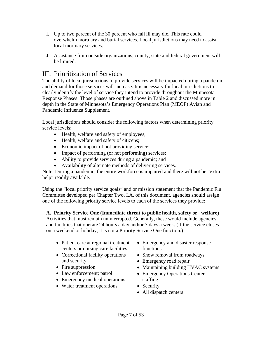- <span id="page-6-0"></span>I. Up to two percent of the 30 percent who fall ill may die. This rate could overwhelm mortuary and burial services. Local jurisdictions may need to assist local mortuary services.
- J. Assistance from outside organizations, county, state and federal government will be limited.

### III. Prioritization of Services

The ability of local jurisdictions to provide services will be impacted during a pandemic and demand for those services will increase. It is necessary for local jurisdictions to clearly identify the level of service they intend to provide throughout the Minnesota Response Phases. Those phases are outlined above in Table 2 and discussed more in depth in the State of Minnesota's Emergency Operations Plan (MEOP) Avian and Pandemic Influenza Supplement.

Local jurisdictions should consider the following factors when determining priority service levels:

- Health, welfare and safety of employees;
- Health, welfare and safety of citizens;
- Economic impact of not providing service;
- Impact of performing (or not performing) services;
- Ability to provide services during a pandemic; and
- Availability of alternate methods of delivering services.

Note: During a pandemic, the entire workforce is impaired and there will not be "extra help" readily available.

Using the "local priority service goals" and or mission statement that the Pandemic Flu Committee developed per Chapter Two, I.A. of this document, agencies should assign one of the following priority service levels to each of the services they provide:

**A. Priority Service One (Immediate threat to public health, safety or welfare)**  Activities that must remain uninterrupted. Generally, these would include agencies and facilities that operate 24 hours a day and/or 7 days a week. (If the service closes on a weekend or holiday, it is not a Priority Service One function.)

- Patient care at regional treatment centers or nursing care facilities
- Correctional facility operations and security
- Fire suppression
- Law enforcement; patrol
- Emergency medical operations
- Water treatment operations
- Emergency and disaster response functions
- Snow removal from roadways
- Emergency road repair
- Maintaining building HVAC systems
- Emergency Operations Center staffing
- Security
- All dispatch centers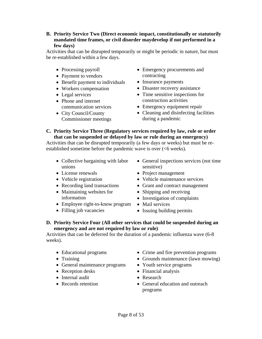**B. Priority Service Two (Direct economic impact, constitutionally or statutorily mandated time frames, or civil disorder maydevelop if not performed in a few days)** 

Activities that can be disrupted temporarily or might be periodic in nature, but must be re-established within a few days.

- Processing payroll
- Payment to vendors
- Benefit payment to individuals
- Workers compensation
- Legal services
- Phone and internet communication services
- City Council/County Commissioner meetings
- Emergency procurements and contracting
- Insurance payments
- Disaster recovery assistance
- Time sensitive inspections for construction activities
- Emergency equipment repair
- Cleaning and disinfecting facilities during a pandemic
- **C. Priority Service Three (Regulatory services required by law, rule or order that can be suspended or delayed by law or rule during an emergency)**

Activities that can be disrupted temporarily (a few days or weeks) but must be reestablished sometime before the pandemic wave is over (<6 weeks).

- Collective bargaining with labor unions
- License renewals
- Vehicle registration
- Recording land transactions
- Maintaining websites for information
- Employee right-to-know program Mail services
- Filling job vacancies
- General inspections services (not time sensitive)
- Project management
- Vehicle maintenance services
- Grant and contract management
- Shipping and receiving
- Investigation of complaints
- 
- Issuing building permits

#### **D. Priority Service Four (All other services that could be suspended during an emergency and are not required by law or rule)**

Activities that can be deferred for the duration of a pandemic influenza wave (6-8 weeks).

- Educational programs
- Training
- General maintenance programs
- Reception desks
- Internal audit
- Records retention
- Crime and fire prevention programs
- Grounds maintenance (lawn mowing)
- Youth service programs
- Financial analysis
- Research
- General education and outreach programs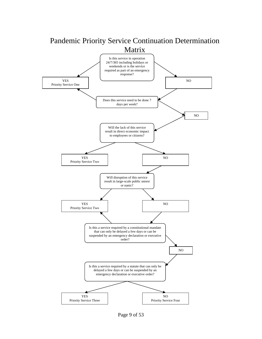

Page 9 of 53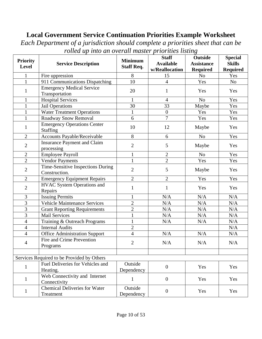### **Local Government Service Continuation Priorities Example Worksheet**

*Each Department of a jurisdiction should complete a priorities sheet that can be rolled up into an overall master priorities listing*

| <b>Priority</b> |                                                       | <b>Minimum</b>        | <b>Staff</b><br><b>Available</b> | <b>Outside</b><br><b>Assistance</b> | <b>Special</b><br><b>Skills</b> |
|-----------------|-------------------------------------------------------|-----------------------|----------------------------------|-------------------------------------|---------------------------------|
| Level           | <b>Service Description</b>                            | <b>Staff Req.</b>     | w/Reallocation                   | <b>Required</b>                     | <b>Required</b>                 |
| $\mathbf{1}$    | Fire uppression                                       | 8                     | 15                               | N <sub>o</sub>                      | Yes                             |
| $\mathbf{1}$    | 911 Communications Dispatching                        | 10                    | 4                                | Yes                                 | N <sub>o</sub>                  |
|                 | <b>Emergency Medical Service</b>                      |                       |                                  |                                     |                                 |
| $\mathbf{1}$    | Transportation                                        | 20                    | 1                                | Yes                                 | Yes                             |
| $\mathbf{1}$    | <b>Hospital Services</b>                              | $\mathbf{1}$          | $\overline{4}$                   | N <sub>o</sub>                      | Yes                             |
| $\mathbf{1}$    | <b>Jail Operations</b>                                | 30                    | 33                               | Maybe                               | Yes                             |
| $\mathbf{1}$    | <b>Water Treatment Operations</b>                     | 1                     | $\boldsymbol{0}$                 | Yes                                 | Yes                             |
| $\mathbf{1}$    | Roadway Snow Removal                                  | 6                     | $\overline{7}$                   | Yes                                 | Yes                             |
| $\mathbf{1}$    | <b>Emergency Operations Center</b><br><b>Staffing</b> | 10                    | 12                               | Maybe                               | Yes                             |
| $\overline{2}$  | Accounts Payable/Receivable                           | 8                     | 6                                | N <sub>o</sub>                      | Yes                             |
| $\overline{2}$  | <b>Insurance Payment and Claim</b><br>processing      | $\mathbf{2}$          | 5                                | Maybe                               | Yes                             |
| $\overline{2}$  | <b>Employee Payroll</b>                               | $\mathbf{1}$          | $\overline{2}$                   | N <sub>o</sub>                      | Yes                             |
| $\overline{2}$  | <b>Vendor Payments</b>                                | $\mathbf{1}$          | $\overline{2}$                   | Yes                                 | Yes                             |
| $\overline{2}$  | Time-Sensitive Inspections During<br>Construction.    | $\overline{2}$        | 5                                | Maybe                               | Yes                             |
| $\overline{2}$  | <b>Emergency Equipment Repairs</b>                    | $\overline{2}$        | $\overline{2}$                   | Yes                                 | Yes                             |
| $\overline{2}$  | <b>HVAC System Operations and</b><br>Repairs          | $\mathbf{1}$          | $\mathbf{1}$                     | Yes                                 | Yes                             |
| 3               | <b>Issuing Permits</b>                                |                       | N/A                              | N/A                                 | N/A                             |
| 3               | <b>Vehicle Maintenance Services</b>                   | $\overline{2}$        | N/A                              | N/A                                 | N/A                             |
| $\overline{3}$  | <b>Grant Reporting Requirements</b>                   | $\overline{2}$        | N/A                              | N/A                                 | N/A                             |
| $\overline{3}$  | <b>Mail Services</b>                                  |                       | N/A                              | N/A                                 | N/A                             |
| $\overline{4}$  | Training & Outreach Programs                          |                       | N/A                              | N/A                                 | N/A                             |
| $\overline{4}$  | <b>Internal Audits</b>                                | $\overline{2}$        |                                  |                                     | N/A                             |
| $\overline{4}$  | <b>Office Administration Support</b>                  | $\overline{4}$        | N/A                              | N/A                                 | N/A                             |
| 4               | Fire and Crime Prevention                             | $\overline{2}$        | N/A                              | N/A                                 | N/A                             |
|                 | Programs                                              |                       |                                  |                                     |                                 |
|                 | Services Required to be Provided by Others            |                       |                                  |                                     |                                 |
|                 | Fuel Deliveries for Vehicles and                      | Outside               |                                  |                                     |                                 |
| $\mathbf{1}$    | Heating.                                              | Dependency            | $\mathbf{0}$                     | Yes                                 | Yes                             |
| $\mathbf{1}$    | Web Connectivity and Internet<br>Connectivity         | $\mathbf{1}$          | $\mathbf{0}$                     | Yes                                 | Yes                             |
| $\mathbf{1}$    | <b>Chemical Deliveries for Water</b><br>Treatment     | Outside<br>Dependency | $\mathbf{0}$                     | Yes                                 | Yes                             |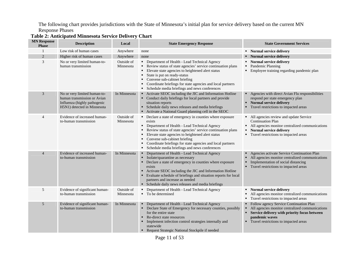The following chart provides jurisdictions with the State of Minnesota's initial plan for service delivery based on the current MN Response Phases

| <b>MN</b> Response<br><b>Phase</b> | <b>Description</b>                                                                                                         | Local                   | <b>State Emergency Response</b>                                                                                                                                                                                                                                                                                                                                                                   | <b>State Government Services</b>                                                                                                                                                                        |
|------------------------------------|----------------------------------------------------------------------------------------------------------------------------|-------------------------|---------------------------------------------------------------------------------------------------------------------------------------------------------------------------------------------------------------------------------------------------------------------------------------------------------------------------------------------------------------------------------------------------|---------------------------------------------------------------------------------------------------------------------------------------------------------------------------------------------------------|
|                                    | Low risk of human cases                                                                                                    | Anywhere                | none                                                                                                                                                                                                                                                                                                                                                                                              | • Normal service delivery                                                                                                                                                                               |
| $\overline{2}$                     | Higher risk of human cases                                                                                                 | Anywhere                | none                                                                                                                                                                                                                                                                                                                                                                                              | • Normal service delivery                                                                                                                                                                               |
| $\mathfrak{Z}$                     | No or very limited human-to-<br>human transmission                                                                         | Outside of<br>Minnesota | • Department of Health - Lead Technical Agency<br>Review status of state agencies' service continuation plans<br>• Elevate state agencies to heightened alert status<br>State is put on ready-status<br>• Convene sub-cabinet briefing<br>Coordinate briefings for state agencies and local partners<br>• Schedule media briefings and news conferences                                           | • Normal service delivery<br>Pandemic Planning<br>• Employee training regarding pandemic plan                                                                                                           |
| 3                                  | No or very limited human-to-<br>human transmission or Avian<br>Influenza (highly pathogenic<br>H5N1) detected in Minnesota | In Minnesota            | • Activate SEOC including the JIC and Information Hotline<br>• Conduct daily briefings for local partners and provide<br>situation reports<br>Schedule daily news releases and media briefings<br>• Activate a National Guard planning cell in the SEOC                                                                                                                                           | Agencies with direct Avian Flu responsibilities<br>respond per state emergency plan<br>• Normal service delivery<br>Travel restrictions to impacted areas                                               |
| $\overline{4}$                     | Evidence of increased human-<br>to-human transmission                                                                      | Outside of<br>Minnesota | • Declare a state of emergency in counties where exposure<br>exists<br>• Department of Health - Lead Technical Agency<br>Review status of state agencies' service continuation plans<br>Elevate state agencies to heightened alert status<br>٠<br>• Convene sub-cabinet briefing<br>Coordinate briefings for state agencies and local partners<br>• Schedule media briefings and news conferences | • All agencies review and update Service<br><b>Continuation Plan</b><br>• All agencies monitor centralized communications<br>Normal service delivery<br>• Travel restrictions to impacted areas         |
| $\overline{4}$                     | Evidence of increased human-<br>to-human transmission                                                                      | In Minnesota            | • Department of Health - Lead Technical Agency<br>• Isolate/quarantine as necessary<br>• Declare a state of emergency in counties where exposure<br>exists<br>Activate SEOC including the JIC and Information Hotline<br>Evaluate schedule of briefings and situation reports for local<br>٠<br>partners and increase as needed<br>• Schedule daily news releases and media briefings             | Agencies activate Service Continuation Plan<br>All agencies monitor centralized communications<br>Implementation of social distancing<br>Travel restrictions to impacted areas                          |
| 5                                  | Evidence of significant human-<br>to-human transmission                                                                    | Outside of<br>Minnesota | • Department of Health - Lead Technical Agency<br>• To be determined                                                                                                                                                                                                                                                                                                                              | • Normal service delivery<br>All agencies monitor centralized communications<br>• Travel restrictions to impacted areas                                                                                 |
| 5                                  | Evidence of significant human-<br>to-human transmission                                                                    | In Minnesota            | • Department of Health - Lead Technical Agency<br>• Declare State of Emergency for necessary counties, possibly<br>for the entire state<br>Re-direct state resources<br>Implement infection control strategies internally and<br>statewide<br>Request Strategic National Stockpile if needed                                                                                                      | Follow agency Service Continuation Plan<br>All agencies monitor centralized communications<br>Service delivery with priority focus between<br>pandemic waves<br>• Travel restrictions to impacted areas |

#### **Table 2: Anticipated Minnesota Service Delivery Chart**

Page 11 of 53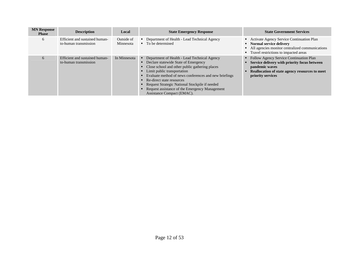| <b>MN Response</b><br><b>Phase</b> | <b>Description</b>                                      | Local                   | <b>State Emergency Response</b>                                                                                                                                                                                                                                                                                                                                                                      | <b>State Government Services</b>                                                                                                                                                     |
|------------------------------------|---------------------------------------------------------|-------------------------|------------------------------------------------------------------------------------------------------------------------------------------------------------------------------------------------------------------------------------------------------------------------------------------------------------------------------------------------------------------------------------------------------|--------------------------------------------------------------------------------------------------------------------------------------------------------------------------------------|
| 6                                  | Efficient and sustained human-<br>to-human transmission | Outside of<br>Minnesota | • Department of Health - Lead Technical Agency<br>$\blacksquare$ To be determined                                                                                                                                                                                                                                                                                                                    | • Activate Agency Service Continuation Plan<br>• Normal service delivery<br>• All agencies monitor centralized communications<br>• Travel restrictions to impacted areas             |
| 6                                  | Efficient and sustained human-<br>to-human transmission | In Minnesota            | Department of Health - Lead Technical Agency<br>٠<br>• Declare statewide State of Emergency<br>Close school and other public gathering places<br>Limit public transportation<br>Evaluate method of news conferences and new briefings<br>Re-direct state resources<br>Request Strategic National Stockpile if needed<br>Request assistance of the Emergency Management<br>Assistance Compact (EMAC). | • Follow Agency Service Continuation Plan<br>• Service delivery with priority focus between<br>pandemic waves<br>Reallocation of state agency resources to meet<br>priority services |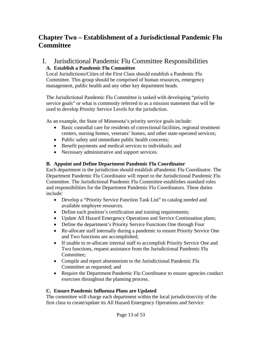### <span id="page-12-0"></span>**Chapter Two – Establishment of a Jurisdictional Pandemic Flu Committee**

#### I. Jurisdictional Pandemic Flu Committee Responsibilities **A. Establish a Pandemic Flu Committee**

Local Jurisdictions/Cities of the First Class should establish a Pandemic Flu Committee. This group should be comprised of human resources, emergency management, public health and any other key department heads.

The Jurisdictional Pandemic Flu Committee is tasked with developing "priority service goals" or what is commonly referred to as a mission statement that will be used to develop Priority Service Levels for the jurisdiction.

As an example, the State of Minnesota's priority service goals include:

- Basic custodial care for residents of correctional facilities, regional treatment centers, nursing homes, veterans' homes, and other state-operated services;
- Public safety and immediate public health concerns;
- Benefit payments and medical services to individuals; and
- Necessary administrative and support services.

#### **B. Appoint and Define Department Pandemic Flu Coordinator**

Each department in the jurisdiction should establish aPandemic Flu Coordinator. The Department Pandemic Flu Coordinator will report to the Jurisdictional Pandemic Flu Committee. The Jurisdictional Pandemic Flu Committee establishes standard roles and responsibilities for the Department Pandemic Flu Coordinators. These duties include:

- Develop a "Priority Service Function Task List" to catalog needed and available employee resources.
- Define each position's certification and training requirements;
- Update All Hazard Emergency Operations and Service Continuation plans;
- Define the department's Priority Service Functions One through Four
- Re-allocate staff internally during a pandemic to ensure Priority Service One and Two functions are accomplished;
- If unable to re-allocate internal staff to accomplish Priority Service One and Two functions, request assistance from the Jurisdictional Pandemic Flu Committee;
- Compile and report absenteeism to the Jurisdictional Pandemic Flu Committee as requested; and
- Require the Department Pandemic Flu Coordinator to ensure agencies conduct exercises throughout the planning process.

#### **C. Ensure Pandemic Influenza Plans are Updated**

The committee will charge each department within the local jurisdiction/city of the first class to create/update its All Hazard Emergency Operations and Service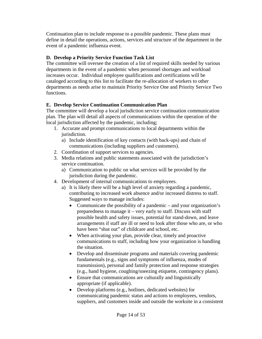Continuation plan to include response to a possible pandemic. These plans must define in detail the operations, actions, services and structure of the department in the event of a pandemic influenza event.

#### **D. Develop a Priority Service Function Task List**

The committee will oversee the creation of a list of required skills needed by various departments in the event of a pandemic when personnel shortages and workload increases occur. Individual employee qualifications and certifications will be cataloged according to this list to facilitate the re-allocation of workers to other departments as needs arise to maintain Priority Service One and Priority Service Two functions.

#### **E. Develop Service Continuation Communication Plan**

The committee will develop a local jurisdiction service continuation communication plan. The plan will detail all aspects of communications within the operation of the local jurisdiction affected by the pandemic, including;

- 1. Accurate and prompt communications to local departments within the jurisdiction.
	- a) Include identification of key contacts (with back-ups) and chain of communications (including suppliers and customers).
- 2. Coordination of support services to agencies.
- 3. Media relations and public statements associated with the jurisdiction's service continuation.
	- a) Communication to public on what services will be provided by the jurisdiction during the pandemic.
- 4. Development of internal communications to employees.
	- a) It is likely there will be a high level of anxiety regarding a pandemic, contributing to increased work absence and/or increased distress to staff. Suggested ways to manage includes:
		- Communicate the possibility of a pandemic and your organization's preparedness to manage it – very early to staff. Discuss with staff possible health and safety issues, potential for stand-down, and leave arrangements if staff are ill or need to look after those who are, or who have been "shut out" of childcare and school, etc.
		- When activating your plan, provide clear, timely and proactive communications to staff, including how your organization is handling the situation.
		- Develop and disseminate programs and materials covering pandemic fundamentals (e.g., signs and symptoms of influenza, modes of transmission), personal and family protection and response strategies (e.g., hand hygiene, coughing/sneezing etiquette, contingency plans).
		- Ensure that communications are culturally and linguistically appropriate (if applicable).
		- Develop platforms (e.g., hotlines, dedicated websites) for communicating pandemic status and actions to employees, vendors, suppliers, and customers inside and outside the worksite in a consistent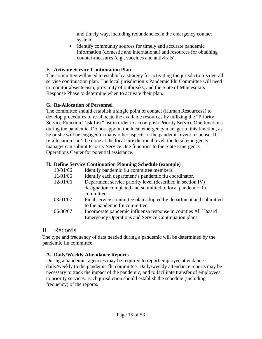and timely way, including redundancies in the emergency contact system.

• Identify community sources for timely and accurate pandemic information (domestic and international) and resources for obtaining counter-measures (e.g., vaccines and antivirals).

#### <span id="page-14-0"></span>**F. Activate Service Continuation Plan**

The committee will need to establish a strategy for activating the jurisdiction's overall service continuation plan. The local jurisdiction's Pandemic Flu Committee will need to monitor absenteeism, proximity of outbreaks, and the State of Minnesota's Response Phase to determine when to activate their plan.

#### **G. Re-Allocation of Personnel**

The committee should establish a single point of contact (Human Resources?) to develop procedures to re-allocate the available resources by utilizing the "Priority Service Function Task List" list in order to accomplish Priority Service One functions during the pandemic. Do not appoint the local emergency manager to this function, as he or she will be engaged in many other aspects of the pandemic event response. If re-allocation can't be done at the local jurisdictional level, the local emergency manager can submit Priority Service One functions to the State Emergency Operations Center for potential assistance.

#### **H. Define Service Continuation Planning Schedule (example)**

| Identify pandemic flu committee members.                         |
|------------------------------------------------------------------|
| Identify each department's pandemic flu coordinator.             |
| Department service priority level (described in section IV)      |
| designation completed and submitted to local pandemic flu        |
| committee.                                                       |
| Final service committee plan adopted by department and submitted |
| to the pandemic flu committee.                                   |
| Incorporate pandemic influenza response in counties All Hazard   |
| Emergency Operations and Service Continuation plans.             |
|                                                                  |

### II. Records

The type and frequency of data needed during a pandemic will be determined by the pandemic flu committee.

#### **A. Daily/Weekly Attendance Reports**

During a pandemic, agencies may be required to report employee attendance daily/weekly to the pandemic flu committee. Daily/weekly attendance reports may be necessary to track the impact of the pandemic, and to facilitate transfer of employees to priority services. Each jurisdiction should establish the schedule (including frequency) of the reports.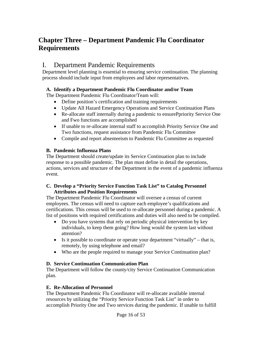### <span id="page-15-0"></span>**Chapter Three – Department Pandemic Flu Coordinator Requirements**

### I. Department Pandemic Requirements

Department level planning is essential to ensuring service continuation. The planning process should include input from employees and labor representatives.

#### **A. Identify a Department Pandemic Flu Coordinator and/or Team**

The Department Pandemic Flu Coordinator/Team will:

- Define position's certification and training requirements
- Update All Hazard Emergency Operations and Service Continuation Plans
- Re-allocate staff internally during a pandemic to ensurePpriority Service One and Fwo functions are accomplished
- If unable to re-allocate internal staff to accomplish Priority Service One and Two functions, request assistance from Pandemic Flu Committee
- Compile and report absenteeism to Pandemic Flu Committee as requested

#### **B. Pandemic Influenza Plans**

The Department should create/update its Service Continuation plan to include response to a possible pandemic. The plan must define in detail the operations, actions, services and structure of the Department in the event of a pandemic influenza event.

#### **C. Develop a "Priority Service Function Task List" to Catalog Personnel Attributes and Position Requirements**

The Department Pandemic Flu Coordinator will oversee a census of current employees. The census will need to capture each employee's qualifications and certifications. This census will be used to re-allocate personnel during a pandemic. A list of positions with required certifications and duties will also need to be compiled.

- Do you have systems that rely on periodic physical intervention by key individuals, to keep them going? How long would the system last without attention?
- Is it possible to coordinate or operate your department "virtually" that is, remotely, by using telephone and email?
- Who are the people required to manage your Service Continuation plan?

#### **D. Service Continuation Communication Plan**

The Department will follow the county/city Service Continuation Communication plan.

#### **E. Re-Allocation of Personnel**

The Department Pandemic Flu Coordinator will re-allocate available internal resources by utilizing the "Priority Service Function Task List" in order to accomplish Priority One and Two services during the pandemic. If unable to fulfill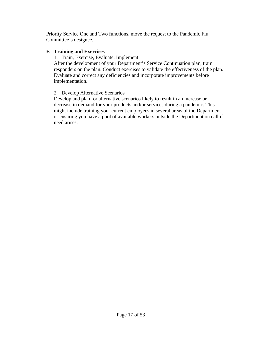Priority Service One and Two functions, move the request to the Pandemic Flu Committee's designee.

#### **F. Training and Exercises**

1. Train, Exercise, Evaluate, Implement

After the development of your Department's Service Continuation plan, train responders on the plan. Conduct exercises to validate the effectiveness of the plan. Evaluate and correct any deficiencies and incorporate improvements before implementation.

#### 2. Develop Alternative Scenarios

Develop and plan for alternative scenarios likely to result in an increase or decrease in demand for your products and/or services during a pandemic. This might include training your current employees in several areas of the Department or ensuring you have a pool of available workers outside the Department on call if need arises.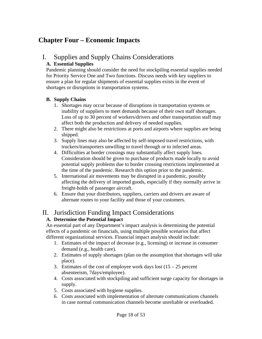### <span id="page-17-0"></span>**Chapter Four – Economic Impacts**

#### I. Supplies and Supply Chains Considerations **A. Essential Supplies**

Pandemic planning should consider the need for stockpiling essential supplies needed for Priority Service One and Two functions. Discuss needs with key suppliers to ensure a plan for regular shipments of essential supplies exists in the event of shortages or disruptions in transportation systems.

#### **B. Supply Chains**

- 1. Shortages may occur because of disruptions in transportation systems or inability of suppliers to meet demands because of their own staff shortages. Loss of up to 30 percent of workers/drivers and other transportation staff may affect both the production and delivery of needed supplies.
- 2. There might also be restrictions at ports and airports where supplies are being shipped.
- 3. Supply lines may also be affected by self-imposed travel restrictions, with truckers/transporters unwilling to travel through or to infected areas.
- 4. Difficulties at border crossings may substantially affect supply lines. Consideration should be given to purchase of products made locally to avoid potential supply problems due to border crossing restrictions implemented at the time of the pandemic. Research this option prior to the pandemic.
- 5. International air movements may be disrupted in a pandemic, possibly affecting the delivery of imported goods, especially if they normally arrive in freight-holds of passenger aircraft.
- 6. Ensure that your distributors, suppliers, carriers and drivers are aware of alternate routes to your facility and those of your customers.

### II. Jurisdiction Funding Impact Considerations

#### **A. Determine the Potential Impact**

An essential part of any Department's impact analysis is determining the potential effects of a pandemic on financials, using multiple possible scenarios that affect different organizational services. Financial impact analysis should include:

- 1. Estimates of the impact of decrease (e.g., licensing) or increase in consumer demand (e.g., health care).
- 2. Estimates of supply shortages (plan on the assumption that shortages will take place).
- 3. Estimates of the cost of employee work days lost  $(15 25)$  percent absenteeism, 7days/employee).
- 4. Costs associated with stockpiling and sufficient surge capacity for shortages in supply.
- 5. Costs associated with hygiene supplies.
- 6. Costs associated with implementation of alternate communications channels in case normal communication channels become unreliable or overloaded.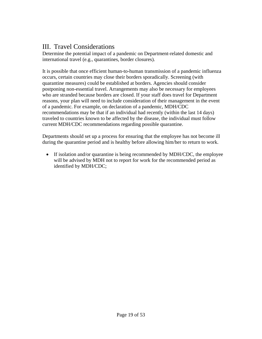### <span id="page-18-0"></span>III. Travel Considerations

Determine the potential impact of a pandemic on Department-related domestic and international travel (e.g., quarantines, border closures).

It is possible that once efficient human-to-human transmission of a pandemic influenza occurs, certain countries may close their borders sporadically. Screening (with quarantine measures) could be established at borders. Agencies should consider postponing non-essential travel. Arrangements may also be necessary for employees who are stranded because borders are closed. If your staff does travel for Department reasons, your plan will need to include consideration of their management in the event of a pandemic. For example, on declaration of a pandemic, MDH/CDC recommendations may be that if an individual had recently (within the last 14 days) traveled to countries known to be affected by the disease, the individual must follow current MDH/CDC recommendations regarding possible quarantine.

Departments should set up a process for ensuring that the employee has not become ill during the quarantine period and is healthy before allowing him/her to return to work.

• If isolation and/or quarantine is being recommended by MDH/CDC, the employee will be advised by MDH not to report for work for the recommended period as identified by MDH/CDC;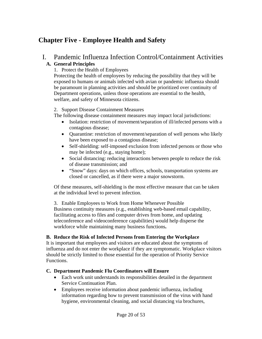### <span id="page-19-0"></span>**Chapter Five - Employee Health and Safety**

#### I. Pandemic Influenza Infection Control/Containment Activities **A. General Principles**

1. Protect the Health of Employees

Protecting the health of employees by reducing the possibility that they will be exposed to humans or animals infected with avian or pandemic influenza should be paramount in planning activities and should be prioritized over continuity of Department operations, unless those operations are essential to the health, welfare, and safety of Minnesota citizens.

#### 2. Support Disease Containment Measures

The following disease containment measures may impact local jurisdictions:

- Isolation: restriction of movement/separation of ill/infected persons with a contagious disease;
- Quarantine: restriction of movement/separation of well persons who likely have been exposed to a contagious disease;
- Self-shielding: self-imposed exclusion from infected persons or those who may be infected (e.g., staying home);
- Social distancing: reducing interactions between people to reduce the risk of disease transmission; and
- "Snow" days: days on which offices, schools, transportation systems are closed or cancelled, as if there were a major snowstorm.

Of these measures, self-shielding is the most effective measure that can be taken at the individual level to prevent infection.

3. Enable Employees to Work from Home Whenever Possible Business continuity measures (e.g., establishing web-based email capability, facilitating access to files and computer drives from home, and updating teleconference and videoconference capabilities) would help disperse the workforce while maintaining many business functions**.** 

#### **B. Reduce the Risk of Infected Persons from Entering the Workplace**

It is important that employees and visitors are educated about the symptoms of influenza and do not enter the workplace if they are symptomatic. Workplace visitors should be strictly limited to those essential for the operation of Priority Service Functions.

#### **C. Department Pandemic Flu Coordinators will Ensure**

- Each work unit understands its responsibilities detailed in the department Service Continuation Plan.
- Employees receive information about pandemic influenza, including information regarding how to prevent transmission of the virus with hand hygiene, environmental cleaning, and social distancing via brochures,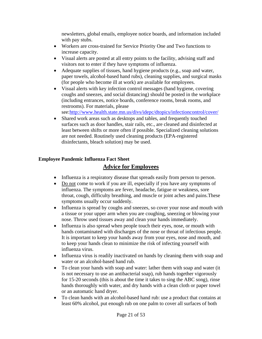newsletters, global emails, employee notice boards, and information included with pay stubs.

- Workers are cross-trained for Service Priority One and Two functions to increase capacity.
- Visual alerts are posted at all entry points to the facility, advising staff and visitors not to enter if they have symptoms of influenza.
- Adequate supplies of tissues, hand hygiene products (e.g., soap and water, paper towels, alcohol-based hand rubs), cleaning supplies, and surgical masks (for people who become ill at work) are available for employees.
- Visual alerts with key infection control messages (hand hygiene, covering coughs and sneezes, and social distancing) should be posted in the workplace (including entrances, notice boards, conference rooms, break rooms, and restrooms). For materials, please
	- see:<http://www.health.state.mn.us/divs/idepc/dtopics/infectioncontrol/cover/>
- Shared work areas such as desktops and tables, and frequently touched surfaces such as door handles, stair rails, etc., are cleaned and disinfected at least between shifts or more often if possible. Specialized cleaning solutions are not needed. Routinely used cleaning products (EPA-registered disinfectants, bleach solution) may be used.

#### **Employee Pandemic Influenza Fact Sheet**

#### **Advice for Employees**

- Influenza is a respiratory disease that spreads easily from person to person.
- Do not come to work if you are ill, especially if you have any symptoms of influenza. The symptoms are fever, headache, fatigue or weakness, sore throat, cough, difficulty breathing, and muscle or joint aches and pains.These symptoms usually occur suddenly.
- Influenza is spread by coughs and sneezes, so cover your nose and mouth with a tissue or your upper arm when you are coughing, sneezing or blowing your nose. Throw used tissues away and clean your hands immediately.
- Influenza is also spread when people touch their eyes, nose, or mouth with hands contaminated with discharges of the nose or throat of infectious people. It is important to keep your hands away from your eyes, nose and mouth, and to keep your hands clean to minimize the risk of infecting yourself with influenza virus.
- Influenza virus is readily inactivated on hands by cleaning them with soap and water or an alcohol-based hand rub.
- To clean your hands with soap and water: lather them with soap and water (it is not necessary to use an antibacterial soap), rub hands together vigorously for 15-20 seconds (this is about the time it takes to sing the ABC song), rinse hands thoroughly with water, and dry hands with a clean cloth or paper towel or an automatic hand dryer.
- To clean hands with an alcohol-based hand rub: use a product that contains at least 60% alcohol, put enough rub on one palm to cover all surfaces of both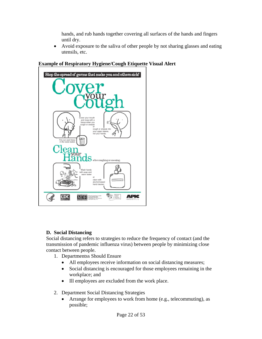hands, and rub hands together covering all surfaces of the hands and fingers until dry.

• Avoid exposure to the saliva of other people by not sharing glasses and eating utensils, etc.



#### **Example of Respiratory Hygiene/Cough Etiquette Visual Alert**

#### **D. Social Distancing**

Social distancing refers to strategies to reduce the frequency of contact (and the transmission of pandemic influenza virus) between people by minimizing close contact between people.

- 1. Departmentss Should Ensure
	- All employees receive information on social distancing measures;
	- Social distancing is encouraged for those employees remaining in the workplace; and
	- Ill employees are excluded from the work place.
- 2. Department Social Distancing Strategies
	- Arrange for employees to work from home (e.g., telecommuting), as possible;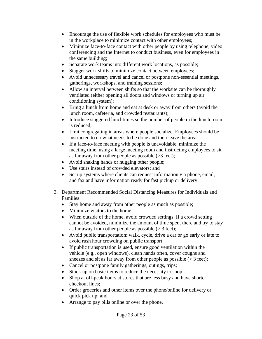- Encourage the use of flexible work schedules for employees who must be in the workplace to minimize contact with other employees;
- Minimize face-to-face contact with other people by using telephone, video conferencing and the Internet to conduct business, even for employees in the same building;
- Separate work teams into different work locations, as possible;
- Stagger work shifts to minimize contact between employees;
- Avoid unnecessary travel and cancel or postpone non-essential meetings, gatherings, workshops, and training sessions;
- Allow an interval between shifts so that the worksite can be thoroughly ventilated (either opening all doors and windows or turning up air conditioning system);
- Bring a lunch from home and eat at desk or away from others (avoid the lunch room, cafeteria, and crowded restaurants);
- Introduce staggered lunchtimes so the number of people in the lunch room is reduced;
- Limi congregating in areas where people socialize. Employees should be instructed to do what needs to be done and then leave the area;
- If a face-to-face meeting with people is unavoidable, minimize the meeting time, using a large meeting room and instructing employees to sit as far away from other people as possible (>3 feet);
- Avoid shaking hands or hugging other people;
- Use stairs instead of crowded elevators; and
- Set up systems where clients can request information via phone, email, and fax and have information ready for fast pickup or delivery.
- 3. Department Recommended Social Distancing Measures for Individuals and Families
	- Stay home and away from other people as much as possible;
	- Minimize visitors to the home;
	- When outside of the home, avoid crowded settings. If a crowd setting cannot be avoided, minimize the amount of time spent there and try to stay as far away from other people as possible  $(> 3$  feet);
	- Avoid public transportation: walk, cycle, drive a car or go early or late to avoid rush hour crowding on public transport;
	- If public transportation is used, ensure good ventilation within the vehicle (e.g., open windows), clean hands often, cover coughs and sneezes and sit as far away from other people as possible  $(> 3$  feet);
	- Cancel or postpone family gatherings, outings, trips;
	- Stock up on basic items to reduce the necessity to shop;
	- Shop at off-peak hours at stores that are less busy and have shorter checkout lines;
	- Order groceries and other items over the phone/online for delivery or quick pick up; and
	- Arrange to pay bills online or over the phone.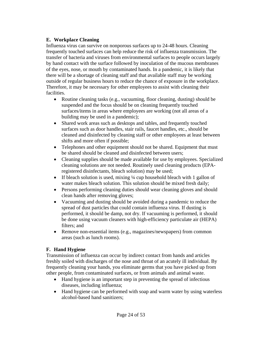#### **E. Workplace Cleaning**

Influenza virus can survive on nonporous surfaces up to 24-48 hours. Cleaning frequently touched surfaces can help reduce the risk of influenza transmission. The transfer of bacteria and viruses from environmental surfaces to people occurs largely by hand contact with the surface followed by inoculation of the mucous membranes of the eyes, nose, or mouth by contaminated hands. In a pandemic, it is likely that there will be a shortage of cleaning staff and that available staff may be working outside of regular business hours to reduce the chance of exposure in the workplace. Therefore, it may be necessary for other employees to assist with cleaning their facilities.

- Routine cleaning tasks (e.g., vacuuming, floor cleaning, dusting) should be suspended and the focus should be on cleaning frequently touched surfaces/items in areas where employees are working (not all areas of a building may be used in a pandemic);
- Shared work areas such as desktops and tables, and frequently touched surfaces such as door handles, stair rails, faucet handles, etc., should be cleaned and disinfected by cleaning staff or other employees at least between shifts and more often if possible;
- Telephones and other equipment should not be shared. Equipment that must be shared should be cleaned and disinfected between users;
- Cleaning supplies should be made available for use by employees. Specialized cleaning solutions are not needed. Routinely used cleaning products (EPAregistered disinfectants, bleach solution) may be used;
- If bleach solution is used, mixing  $\frac{1}{4}$  cup household bleach with 1 gallon of water makes bleach solution. This solution should be mixed fresh daily;
- Persons performing cleaning duties should wear cleaning gloves and should clean hands after removing gloves;
- Vacuuming and dusting should be avoided during a pandemic to reduce the spread of dust particles that could contain influenza virus. If dusting is performed, it should be damp, not dry. If vacuuming is performed, it should be done using vacuum cleaners with high-efficiency particulate air (HEPA) filters; and
- Remove non-essential items (e.g., magazines/newspapers) from common areas (such as lunch rooms).

#### **F. Hand Hygiene**

Transmission of influenza can occur by indirect contact from hands and articles freshly soiled with discharges of the nose and throat of an acutely ill individual. By frequently cleaning your hands, you eliminate germs that you have picked up from other people, from contaminated surfaces, or from animals and animal waste.

- Hand hygiene is an important step in preventing the spread of infectious diseases, including influenza;
- Hand hygiene can be performed with soap and warm water by using waterless alcohol-based hand sanitizers;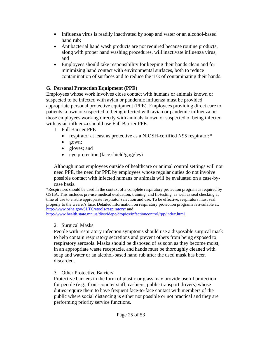- Influenza virus is readily inactivated by soap and water or an alcohol-based hand rub;
- Antibacterial hand wash products are not required because routine products, along with proper hand washing procedures, will inactivate influenza virus; and
- Employees should take responsibility for keeping their hands clean and for minimizing hand contact with environmental surfaces, both to reduce contamination of surfaces and to reduce the risk of contaminating their hands.

#### **G. Personal Protection Equipment (PPE)**

Employees whose work involves close contact with humans or animals known or suspected to be infected with avian or pandemic influenza must be provided appropriate personal protective equipment (PPE). Employees providing direct care to patients known or suspected of being infected with avian or pandemic influenza or those employees working directly with animals known or suspected of being infected with avian influenza should use Full Barrier PPE.

- 1. Full Barrier PPE
	- respirator at least as protective as a NIOSH-certified N95 respirator;\*
	- gown;
	- gloves; and
	- eye protection (face shield/goggles)

Although most employees outside of healthcare or animal control settings will not need PPE, the need for PPE by employees whose regular duties do not involve possible contact with infected humans or animals will be evaluated on a case-bycase basis.

\*Respirators should be used in the context of a complete respiratory protection program as required by OSHA. This includes pre-use medical evaluation, training, and fit-testing, as well as seal checking at time of use to ensure appropriate respirator selection and use. To be effective, respirators must seal properly to the wearer's face. Detailed information on respiratory protection programs is available at: <http://www.osha.gov/SLTC/etools/respiratory/>and

<http://www.health.state.mn.us/divs/idepc/dtopics/infectioncontrol/rpp/index.html>

#### 2. Surgical Masks

People with respiratory infection symptoms should use a disposable surgical mask to help contain respiratory secretions and prevent others from being exposed to respiratory aerosols. Masks should be disposed of as soon as they become moist, in an appropriate waste receptacle, and hands must be thoroughly cleaned with soap and water or an alcohol-based hand rub after the used mask has been discarded.

#### 3. Other Protective Barriers

Protective barriers in the form of plastic or glass may provide useful protection for people (e.g., front-counter staff, cashiers, public transport drivers) whose duties require them to have frequent face-to-face contact with members of the public where social distancing is either not possible or not practical and they are performing priority service functions.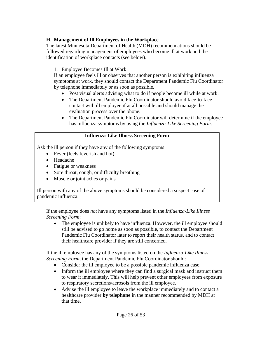#### **H. Management of Ill Employees in the Workplace**

The latest Minnesota Department of Health (MDH) recommendations should be followed regarding management of employees who become ill at work and the identification of workplace contacts (see below).

#### 1. Employee Becomes Ill at Work

If an employee feels ill or observes that another person is exhibiting influenza symptoms at work, they should contact the Department Pandemic Flu Coordinator by telephone immediately or as soon as possible.

- Post visual alerts advising what to do if people become ill while at work.
- The Department Pandemic Flu Coordinator should avoid face-to-face contact with ill employee if at all possible and should manage the evaluation process over the phone.
- The Department Pandemic Flu Coordinator will determine if the employee has influenza symptoms by using the *Influenza-Like Screening Form*.

#### **Influenza-Like Illness Screening Form**

Ask the ill person if they have any of the following symptoms:

- Fever (feels feverish and hot)
- Headache
- Fatigue or weakness
- Sore throat, cough, or difficulty breathing
- Muscle or joint aches or pains

Ill person with any of the above symptoms should be considered a suspect case of pandemic influenza.

If the employee does *not* have any symptoms listed in the *Influenza-Like Illness Screening Form*:

• The employee is unlikely to have influenza. However, the ill employee should still be advised to go home as soon as possible, to contact the Department Pandemic Flu Coordinator later to report their health status, and to contact their healthcare provider if they are still concerned.

If the ill employee has any of the symptoms listed on the *Influenza-Like Illness Screening Form,* the Department Pandemic Flu Coordinator should:

- Consider the ill employee to be a possible pandemic influenza case.
- Inform the ill employee where they can find a surgical mask and instruct them to wear it immediately. This will help prevent other employees from exposure to respiratory secretions/aerosols from the ill employee.
- Advise the ill employee to leave the workplace immediately and to contact a healthcare provider **by telephone** in the manner recommended by MDH at that time.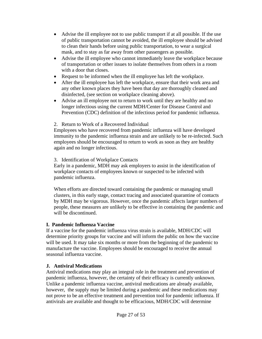- Advise the ill employee not to use public transport if at all possible. If the use of public transportation cannot be avoided, the ill employee should be advised to clean their hands before using public transportation, to wear a surgical mask, and to stay as far away from other passengers as possible.
- Advise the ill employee who cannot immediately leave the workplace because of transportation or other issues to isolate themselves from others in a room with a door that closes.
- Request to be informed when the ill employee has left the workplace.
- After the ill employee has left the workplace, ensure that their work area and any other known places they have been that day are thoroughly cleaned and disinfected, (see section on workplace cleaning above).
- Advise an ill employee not to return to work until they are healthy and no longer infectious using the current MDH/Center for Disease Control and Prevention (CDC) definition of the infectious period for pandemic influenza.

#### 2. Return to Work of a Recovered Individual

Employees who have recovered from pandemic influenza will have developed immunity to the pandemic influenza strain and are unlikely to be re-infected. Such employees should be encouraged to return to work as soon as they are healthy again and no longer infectious.

#### 3. Identification of Workplace Contacts

Early in a pandemic, MDH may ask employers to assist in the identification of workplace contacts of employees known or suspected to be infected with pandemic influenza.

When efforts are directed toward containing the pandemic or managing small clusters, in this early stage, contact tracing and associated quarantine of contacts by MDH may be vigorous. However, once the pandemic affects larger numbers of people, these measures are unlikely to be effective in containing the pandemic and will be discontinued.

#### **I. Pandemic Influenza Vaccine**

If a vaccine for the pandemic influenza virus strain is available, MDH/CDC will determine priority groups for vaccine and will inform the public on how the vaccine will be used. It may take six months or more from the beginning of the pandemic to manufacture the vaccine. Employees should be encouraged to receive the annual seasonal influenza vaccine.

#### **J. Antiviral Medications**

Antiviral medications may play an integral role in the treatment and prevention of pandemic influenza, however, the certainty of their efficacy is currently unknown. Unlike a pandemic influenza vaccine, antiviral medications are already available, however, the supply may be limited during a pandemic and these medications may not prove to be an effective treatment and prevention tool for pandemic influenza. If antivirals are available and thought to be efficacious, MDH/CDC will determine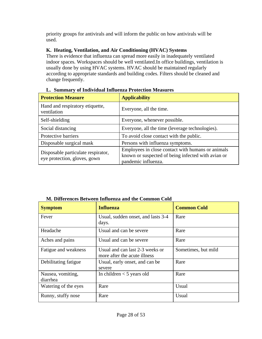priority groups for antivirals and will inform the public on how antivirals will be used.

#### **K. Heating, Ventilation, and Air Conditioning (HVAC) Systems**

There is evidence that influenza can spread more easily in inadequately ventilated indoor spaces. Workspaces should be well ventilated.In office buildings, ventilation is usually done by using HVAC systems. HVAC should be maintained regularly according to appropriate standards and building codes. Filters should be cleaned and change frequently.

| <b>Protection Measure</b>                                          | <b>Applicability</b>                                                                                                           |
|--------------------------------------------------------------------|--------------------------------------------------------------------------------------------------------------------------------|
| Hand and respiratory etiquette,<br>ventilation                     | Everyone, all the time.                                                                                                        |
| Self-shielding                                                     | Everyone, whenever possible.                                                                                                   |
| Social distancing                                                  | Everyone, all the time (leverage technologies).                                                                                |
| Protective barriers                                                | To avoid close contact with the public.                                                                                        |
| Disposable surgical mask                                           | Persons with influenza symptoms.                                                                                               |
| Disposable particulate respirator,<br>eye protection, gloves, gown | Employees in close contact with humans or animals<br>known or suspected of being infected with avian or<br>pandemic influenza. |

#### **L. Summary of Individual Influenza Protection Measures**

#### **M. Differences Between Influenza and the Common Cold**

| <b>Symptom</b>                | <b>Influenza</b>                                                | <b>Common Cold</b>  |
|-------------------------------|-----------------------------------------------------------------|---------------------|
| Fever                         | Usual, sudden onset, and lasts 3-4<br>days.                     | Rare                |
| Headache                      | Usual and can be severe                                         | Rare                |
| Aches and pains               | Usual and can be severe                                         | Rare                |
| Fatigue and weakness          | Usual and can last 2-3 weeks or<br>more after the acute illness | Sometimes, but mild |
| Debilitating fatigue          | Usual, early onset, and can be.<br>severe                       | Rare                |
| Nausea, vomiting,<br>diarrhea | In children $<$ 5 years old                                     | Rare                |
| Watering of the eyes          | Rare                                                            | Usual               |
| Runny, stuffy nose            | Rare                                                            | Usual               |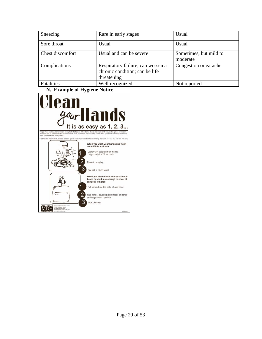| Sneezing         | Rare in early stages                                                               | Usual                              |
|------------------|------------------------------------------------------------------------------------|------------------------------------|
| Sore throat      | Usual                                                                              | Usual                              |
| Chest discomfort | Usual and can be severe                                                            | Sometimes, but mild to<br>moderate |
| Complications    | Respiratory failure; can worsen a<br>chronic condition; can be life<br>threatening | Congestion or earache              |
| Fatalities       | Well recognized                                                                    | Not reported                       |

**N. Example of Hygiene Notice**

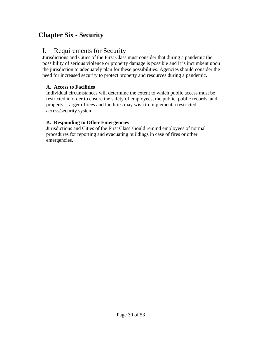### <span id="page-29-0"></span>**Chapter Six - Security**

### I. Requirements for Security

Jurisdictions and Cities of the First Class must consider that during a pandemic the possibility of serious violence or property damage is possible and it is incumbent upon the jurisdiction to adequately plan for these possibilities. Agencies should consider the need for increased security to protect property and resources during a pandemic.

#### **A. Access to Facilities**

Individual circumstances will determine the extent to which public access must be restricted in order to ensure the safety of employees, the public, public records, and property. Larger offices and facilities may wish to implement a restricted access/security system.

#### **B. Responding to Other Emergencies**

Jurisdictions and Cities of the First Class should remind employees of normal procedures for reporting and evacuating buildings in case of fires or other emergencies.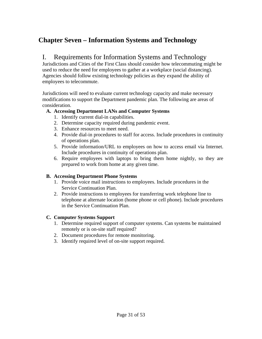### <span id="page-30-0"></span>**Chapter Seven – Information Systems and Technology**

### I. Requirements for Information Systems and Technology

Jurisdictions and Cities of the First Class should consider how telecommuting might be used to reduce the need for employees to gather at a workplace (social distancing). Agencies should follow existing technology policies as they expand the ability of employees to telecommute.

Jurisdictions will need to evaluate current technology capacity and make necessary modifications to support the Department pandemic plan. The following are areas of consideration.

#### **A. Accessing Department LANs and Computer Systems**

- 1. Identify current dial-in capabilities.
- 2. Determine capacity required during pandemic event.
- 3. Enhance resources to meet need.
- 4. Provide dial-in procedures to staff for access. Include procedures in continuity of operations plan.
- 5. Provide information/URL to employees on how to access email via Internet. Include procedures in continuity of operations plan.
- 6. Require employees with laptops to bring them home nightly, so they are prepared to work from home at any given time.

#### **B. Accessing Department Phone Systems**

- 1. Provide voice mail instructions to employees. Include procedures in the Service Continuation Plan.
- 2. Provide instructions to employees for transferring work telephone line to telephone at alternate location (home phone or cell phone). Include procedures in the Service Continuation Plan.

#### **C. Computer Systems Support**

- 1. Determine required support of computer systems. Can systems be maintained remotely or is on-site staff required?
- 2. Document procedures for remote monitoring.
- 3. Identify required level of on-site support required.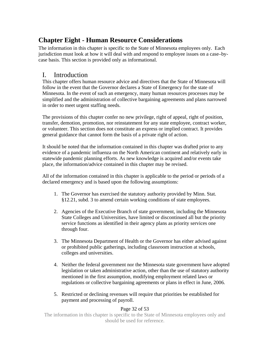### <span id="page-31-0"></span>**Chapter Eight - Human Resource Considerations**

The information in this chapter is specific to the State of Minnesota employees only. Each jurisdiction must look at how it will deal with and respond to employee issues on a case–bycase basis. This section is provided only as informational.

### I. Introduction

This chapter offers human resource advice and directives that the State of Minnesota will follow in the event that the Governor declares a State of Emergency for the state of Minnesota. In the event of such an emergency, many human resources processes may be simplified and the administration of collective bargaining agreements and plans narrowed in order to meet urgent staffing needs.

The provisions of this chapter confer no new privilege, right of appeal, right of position, transfer, demotion, promotion, nor reinstatement for any state employee, contract worker, or volunteer. This section does not constitute an express or implied contract. It provides general guidance that cannot form the basis of a private right of action.

It should be noted that the information contained in this chapter was drafted prior to any evidence of a pandemic influenza on the North American continent and relatively early in statewide pandemic planning efforts. As new knowledge is acquired and/or events take place, the information/advice contained in this chapter may be revised.

All of the information contained in this chapter is applicable to the period or periods of a declared emergency and is based upon the following assumptions:

- 1. The Governor has exercised the statutory authority provided by Minn. Stat. §12.21, subd. 3 to amend certain working conditions of state employees.
- 2. Agencies of the Executive Branch of state government, including the Minnesota State Colleges and Universities, have limited or discontinued all but the priority service functions as identified in their agency plans as priority services one through four.
- 3. The Minnesota Department of Health or the Governor has either advised against or prohibited public gatherings, including classroom instruction at schools, colleges and universities.
- 4. Neither the federal government nor the Minnesota state government have adopted legislation or taken administrative action, other than the use of statutory authority mentioned in the first assumption, modifying employment related laws or regulations or collective bargaining agreements or plans in effect in June, 2006.
- 5. Restricted or declining revenues will require that priorities be established for payment and processing of payroll.

#### Page 32 of 53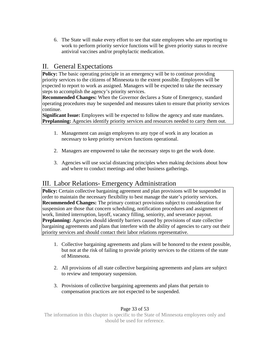<span id="page-32-0"></span>6. The State will make every effort to see that state employees who are reporting to work to perform priority service functions will be given priority status to receive antiviral vaccines and/or prophylactic medication.

### II. General Expectations

**Policy:** The basic operating principle in an emergency will be to continue providing priority services to the citizens of Minnesota to the extent possible. Employees will be expected to report to work as assigned. Managers will be expected to take the necessary steps to accomplish the agency's priority services.

**Recommended Changes:** When the Governor declares a State of Emergency, standard operating procedures may be suspended and measures taken to ensure that priority services continue.

**Significant Issue:** Employees will be expected to follow the agency and state mandates. **Preplanning:** Agencies identify priority services and resources needed to carry them out.

- 1. Management can assign employees to any type of work in any location as necessary to keep priority services functions operational.
- 2. Managers are empowered to take the necessary steps to get the work done.
- 3. Agencies will use social distancing principles when making decisions about how and where to conduct meetings and other business gatherings.

### III. Labor Relations- Emergency Administration

**Policy:** Certain collective bargaining agreement and plan provisions will be suspended in order to maintain the necessary flexibility to best manage the state's priority services. **Recommended Changes:** The primary contract provisions subject to consideration for suspension are those that concern scheduling, notification procedures and assignment of work, limited interruption, layoff, vacancy filling, seniority, and severance payout. **Preplanning:** Agencies should identify barriers caused by provisions of state collective bargaining agreements and plans that interfere with the ability of agencies to carry out their priority services and should contact their labor relations representative.

- 1. Collective bargaining agreements and plans will be honored to the extent possible, but not at the risk of failing to provide priority services to the citizens of the state of Minnesota.
- 2. All provisions of all state collective bargaining agreements and plans are subject to review and temporary suspension.
- 3. Provisions of collective bargaining agreements and plans that pertain to compensation practices are not expected to be suspended.

#### Page 33 of 53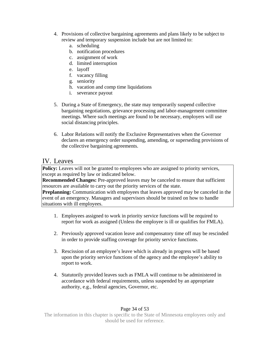- <span id="page-33-0"></span>4. Provisions of collective bargaining agreements and plans likely to be subject to review and temporary suspension include but are not limited to:
	- a. scheduling
	- b. notification procedures
	- c. assignment of work
	- d. limited interruption
	- e. layoff
	- f. vacancy filling
	- g. seniority
	- h. vacation and comp time liquidations
	- i. severance payout
- 5. During a State of Emergency, the state may temporarily suspend collective bargaining negotiations, grievance processing and labor-management committee meetings. Where such meetings are found to be necessary, employers will use social distancing principles.
- 6. Labor Relations will notify the Exclusive Representatives when the Governor declares an emergency order suspending, amending, or superseding provisions of the collective bargaining agreements.

### IV. Leaves

Policy: Leaves will not be granted to employees who are assigned to priority services, except as required by law or indicated below.

**Recommended Changes:** Pre-approved leaves may be canceled to ensure that sufficient resources are available to carry out the priority services of the state.

**Preplanning:** Communication with employees that leaves approved may be canceled in the event of an emergency. Managers and supervisors should be trained on how to handle situations with ill employees.

- 1. Employees assigned to work in priority service functions will be required to report for work as assigned (Unless the employee is ill or qualifies for FMLA).
- 2. Previously approved vacation leave and compensatory time off may be rescinded in order to provide staffing coverage for priority service functions.
- 3. Rescission of an employee's leave which is already in progress will be based upon the priority service functions of the agency and the employee's ability to report to work.
- 4. Statutorily provided leaves such as FMLA will continue to be administered in accordance with federal requirements, unless suspended by an appropriate authority, e.g., federal agencies, Governor, etc.

#### Page 34 of 53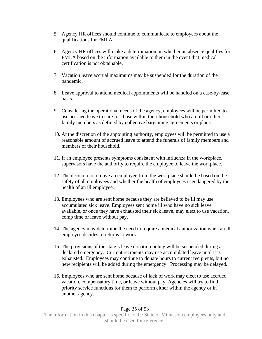- 5. Agency HR offices should continue to communicate to employees about the qualifications for FMLA
- 6. Agency HR offices will make a determination on whether an absence qualifies for FMLA based on the information available to them in the event that medical certification is not obtainable.
- 7. Vacation leave accrual maximums may be suspended for the duration of the pandemic.
- 8. Leave approval to attend medical appointments will be handled on a case-by-case basis.
- 9. Considering the operational needs of the agency, employees will be permitted to use accrued leave to care for those within their household who are ill or other family members as defined by collective bargaining agreements or plans.
- 10. At the discretion of the appointing authority, employees will be permitted to use a reasonable amount of accrued leave to attend the funerals of family members and members of their household.
- 11. If an employee presents symptoms consistent with influenza in the workplace, supervisors have the authority to require the employee to leave the workplace.
- 12. The decision to remove an employee from the workplace should be based on the safety of all employees and whether the health of employees is endangered by the health of an ill employee.
- 13. Employees who are sent home because they are believed to be ill may use accumulated sick leave. Employees sent home ill who have no sick leave available, or once they have exhausted their sick leave, may elect to use vacation, comp time or leave without pay.
- 14. The agency may determine the need to require a medical authorization when an ill employee decides to returns to work.
- 15. The provisions of the state's leave donation policy will be suspended during a declared emergency. Current recipients may use accumulated leave until it is exhausted. Employees may continue to donate hours to current recipients, but no new recipients will be added during the emergency. Processing may be delayed.
- 16. Employees who are sent home because of lack of work may elect to use accrued vacation, compensatory time, or leave without pay. Agencies will try to find priority service functions for them to perform either within the agency or in another agency.

#### Page 35 of 53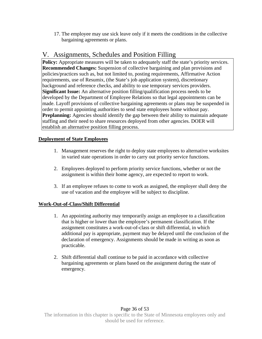<span id="page-35-0"></span>17. The employee may use sick leave only if it meets the conditions in the collective bargaining agreements or plans.

### V. Assignments, Schedules and Position Filling

**Policy:** Appropriate measures will be taken to adequately staff the state's priority services. **Recommended Changes:** Suspension of collective bargaining and plan provisions and policies/practices such as, but not limited to, posting requirements, Affirmative Action requirements, use of Resumix, (the State's job application system), discretionary background and reference checks, and ability to use temporary services providers. **Significant Issue:** An alternative position filling/qualification process needs to be developed by the Department of Employee Relations so that legal appointments can be made. Layoff provisions of collective bargaining agreements or plans may be suspended in order to permit appointing authorities to send state employees home without pay. **Preplanning:** Agencies should identify the gap between their ability to maintain adequate staffing and their need to share resources deployed from other agencies. DOER will establish an alternative position filling process.

#### **Deployment of State Employees**

- 1. Management reserves the right to deploy state employees to alternative worksites in varied state operations in order to carry out priority service functions.
- 2. Employees deployed to perform priority service functions, whether or not the assignment is within their home agency, are expected to report to work.
- 3. If an employee refuses to come to work as assigned, the employer shall deny the use of vacation and the employee will be subject to discipline.

#### **Work-Out-of-Class/Shift Differential**

- 1. An appointing authority may temporarily assign an employee to a classification that is higher or lower than the employee's permanent classification. If the assignment constitutes a work-out-of-class or shift differential, in which additional pay is appropriate, payment may be delayed until the conclusion of the declaration of emergency. Assignments should be made in writing as soon as practicable.
- 2. Shift differential shall continue to be paid in accordance with collective bargaining agreements or plans based on the assignment during the state of emergency.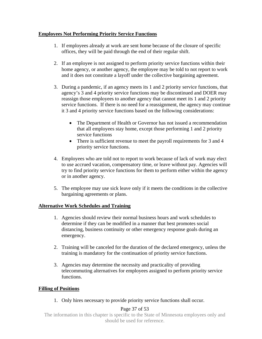#### **Employees Not Performing Priority Service Functions**

- 1. If employees already at work are sent home because of the closure of specific offices, they will be paid through the end of their regular shift.
- 2. If an employee is not assigned to perform priority service functions within their home agency, or another agency, the employee may be told to not report to work and it does not constitute a layoff under the collective bargaining agreement.
- 3. During a pandemic, if an agency meets its 1 and 2 priority service functions, that agency's 3 and 4 priority service functions may be discontinued and DOER may reassign those employees to another agency that cannot meet its 1 and 2 priority service functions. If there is no need for a reassignment, the agency may continue it 3 and 4 priority service functions based on the following considerations:
	- The Department of Health or Governor has not issued a recommendation that all employees stay home, except those performing 1 and 2 priority service functions
	- There is sufficient revenue to meet the payroll requirements for 3 and 4 priority service functions.
- 4. Employees who are told not to report to work because of lack of work may elect to use accrued vacation, compensatory time, or leave without pay. Agencies will try to find priority service functions for them to perform either within the agency or in another agency.
- 5. The employee may use sick leave only if it meets the conditions in the collective bargaining agreements or plans.

#### **Alternative Work Schedules and Training**

- 1. Agencies should review their normal business hours and work schedules to determine if they can be modified in a manner that best promotes social distancing, business continuity or other emergency response goals during an emergency.
- 2. Training will be canceled for the duration of the declared emergency, unless the training is mandatory for the continuation of priority service functions.
- 3. Agencies may determine the necessity and practicality of providing telecommuting alternatives for employees assigned to perform priority service functions.

#### **Filling of Positions**

1. Only hires necessary to provide priority service functions shall occur.

#### Page 37 of 53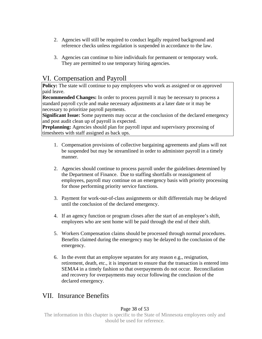- <span id="page-37-0"></span>2. Agencies will still be required to conduct legally required background and reference checks unless regulation is suspended in accordance to the law.
- 3. Agencies can continue to hire individuals for permanent or temporary work. They are permitted to use temporary hiring agencies.

### VI. Compensation and Payroll

**Policy:** The state will continue to pay employees who work as assigned or on approved paid leave.

**Recommended Changes:** In order to process payroll it may be necessary to process a standard payroll cycle and make necessary adjustments at a later date or it may be necessary to prioritize payroll payments.

**Significant Issue:** Some payments may occur at the conclusion of the declared emergency and post audit clean up of payroll is expected.

**Preplanning:** Agencies should plan for payroll input and supervisory processing of timesheets with staff assigned as back ups.

- 1. Compensation provisions of collective bargaining agreements and plans will not be suspended but may be streamlined in order to administer payroll in a timely manner.
- 2. Agencies should continue to process payroll under the guidelines determined by the Department of Finance. Due to staffing shortfalls or reassignment of employees, payroll may continue on an emergency basis with priority processing for those performing priority service functions.
- 3. Payment for work-out-of-class assignments or shift differentials may be delayed until the conclusion of the declared emergency.
- 4. If an agency function or program closes after the start of an employee's shift, employees who are sent home will be paid through the end of their shift.
- 5. Workers Compensation claims should be processed through normal procedures. Benefits claimed during the emergency may be delayed to the conclusion of the emergency.
- 6. In the event that an employee separates for any reason e.g., resignation, retirement, death, etc., it is important to ensure that the transaction is entered into SEMA4 in a timely fashion so that overpayments do not occur. Reconciliation and recovery for overpayments may occur following the conclusion of the declared emergency.

### VII. Insurance Benefits

#### Page 38 of 53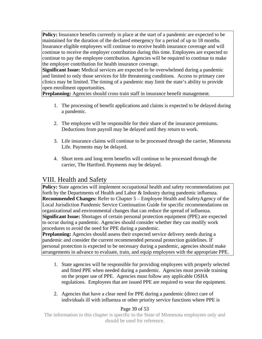<span id="page-38-0"></span>**Policy:** Insurance benefits currently in place at the start of a pandemic are expected to be maintained for the duration of the declared emergency for a period of up to 18 months. Insurance eligible employees will continue to receive health insurance coverage and will continue to receive the employer contribution during this time. Employees are expected to continue to pay the employee contribution. Agencies will be required to continue to make the employer contribution for health insurance coverage.

**Significant Issue:** Medical services are expected to be overwhelmed during a pandemic and limited to only those services for life threatening conditions. Access to primary care clinics may be limited. The timing of a pandemic may limit the state's ability to provide open enrollment opportunities.

**Preplanning:** Agencies should cross train staff in insurance benefit management.

- 1. The processing of benefit applications and claims is expected to be delayed during a pandemic.
- 2. The employee will be responsible for their share of the insurance premiums. Deductions from payroll may be delayed until they return to work.
- 3. Life insurance claims will continue to be processed through the carrier, Minnesota Life. Payments may be delayed.
- 4. Short term and long term benefits will continue to be processed through the carrier, The Hartford. Payments may be delayed.

### VIII. Health and Safety

**Policy:** State agencies will implement occupational health and safety recommendations put forth by the Departments of Health and Labor & Industry during pandemic influenza. **Recommended Changes:** Refer to Chapter 5 – Employee Health and SafetyAgency of the Local Jurisdiction Pandemic Service Continuation Guide for specific recommendations on organizational and environmental changes that can reduce the spread of influenza. **Significant Issue:** Shortages of certain personal protection equipment (PPE) are expected to occur during a pandemic. Agencies should consider whether they can modify work procedures to avoid the need for PPE during a pandemic.

**Preplanning:** Agencies should assess their expected service delivery needs during a pandemic and consider the current recommended personal protection guidelines. If personal protection is expected to be necessary during a pandemic, agencies should make arrangements in advance to evaluate, train, and equip employees with the appropriate PPE.

- 1. State agencies will be responsible for providing employees with properly selected and fitted PPE when needed during a pandemic. Agencies must provide training on the proper use of PPE. Agencies must follow any applicable OSHA regulations. Employees that are issued PPE are required to wear the equipment.
- 2. Agencies that have a clear need for PPE during a pandemic (direct care of individuals ill with influenza or other priority service functions where PPE is

#### Page 39 of 53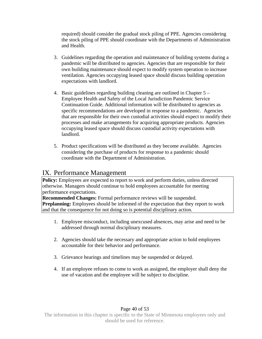<span id="page-39-0"></span>required) should consider the gradual stock piling of PPE. Agencies considering the stock piling of PPE should coordinate with the Departments of Administration and Health.

- 3. Guidelines regarding the operation and maintenance of building systems during a pandemic will be distributed to agencies. Agencies that are responsible for their own building maintenance should expect to modify system operation to increase ventilation. Agencies occupying leased space should discuss building operation expectations with landlord.
- 4. Basic guidelines regarding building cleaning are outlined in Chapter 5 Employee Health and Safety of the Local Jurisdiction Pandemic Service Continuation Guide. Additional information will be distributed to agencies as specific recommendations are developed in response to a pandemic. Agencies that are responsible for their own custodial activities should expect to modify their processes and make arrangements for acquiring appropriate products. Agencies occupying leased space should discuss custodial activity expectations with landlord.
- 5. Product specifications will be distributed as they become available. Agencies considering the purchase of products for response to a pandemic should coordinate with the Department of Administration.

### IX. Performance Management

**Policy:** Employees are expected to report to work and perform duties, unless directed otherwise. Managers should continue to hold employees accountable for meeting performance expectations.

**Recommended Changes:** Formal performance reviews will be suspended. **Preplanning:** Employees should be informed of the expectation that they report to work and that the consequence for not doing so is potential disciplinary action.

- 1. Employee misconduct, including unexcused absences, may arise and need to be addressed through normal disciplinary measures.
- 2. Agencies should take the necessary and appropriate action to hold employees accountable for their behavior and performance.
- 3. Grievance hearings and timelines may be suspended or delayed.
- 4. If an employee refuses to come to work as assigned, the employer shall deny the use of vacation and the employee will be subject to discipline.

#### Page 40 of 53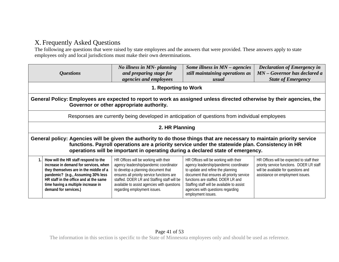### X. Frequently Asked Questions

The following are questions that were raised by state employees and the answers that were provided. These answers apply to state employees only and local jurisdictions must make their own determinations.

|                                                                                                                                                                   | <i><b>Questions</b></i>                                                                                                                                                                                                                                                | No illness in MN- planning<br>and preparing stage for<br>agencies and employees                                                                                                                                                                                                                    | Some illness in $MN$ – agencies<br>still maintaining operations as<br>usual                                                                                                                                                                                                                                       | <b>Declaration of Emergency in</b><br>MN – Governor has declared a<br><b>State of Emergency</b>                                                                    |
|-------------------------------------------------------------------------------------------------------------------------------------------------------------------|------------------------------------------------------------------------------------------------------------------------------------------------------------------------------------------------------------------------------------------------------------------------|----------------------------------------------------------------------------------------------------------------------------------------------------------------------------------------------------------------------------------------------------------------------------------------------------|-------------------------------------------------------------------------------------------------------------------------------------------------------------------------------------------------------------------------------------------------------------------------------------------------------------------|--------------------------------------------------------------------------------------------------------------------------------------------------------------------|
|                                                                                                                                                                   |                                                                                                                                                                                                                                                                        | 1. Reporting to Work                                                                                                                                                                                                                                                                               |                                                                                                                                                                                                                                                                                                                   |                                                                                                                                                                    |
| General Policy: Employees are expected to report to work as assigned unless directed otherwise by their agencies, the<br>Governor or other appropriate authority. |                                                                                                                                                                                                                                                                        |                                                                                                                                                                                                                                                                                                    |                                                                                                                                                                                                                                                                                                                   |                                                                                                                                                                    |
|                                                                                                                                                                   |                                                                                                                                                                                                                                                                        |                                                                                                                                                                                                                                                                                                    | Responses are currently being developed in anticipation of questions from individual employees                                                                                                                                                                                                                    |                                                                                                                                                                    |
|                                                                                                                                                                   |                                                                                                                                                                                                                                                                        | 2. HR Planning                                                                                                                                                                                                                                                                                     |                                                                                                                                                                                                                                                                                                                   |                                                                                                                                                                    |
|                                                                                                                                                                   |                                                                                                                                                                                                                                                                        |                                                                                                                                                                                                                                                                                                    | General policy: Agencies will be given the authority to do those things that are necessary to maintain priority service<br>functions. Payroll operations are a priority service under the statewide plan. Consistency in HR<br>operations will be important in operating during a declared state of emergency.    |                                                                                                                                                                    |
| 1.                                                                                                                                                                | How will the HR staff respond to the<br>increase in demand for services, when<br>they themselves are in the middle of a<br>pandemic? (e.g., Assuming 30% less<br>HR staff in the office and at the same<br>time having a multiple increase in<br>demand for services.) | HR Offices will be working with their<br>agency leadership/pandemic coordinator<br>to develop a planning document that<br>ensures all priority service functions are<br>staffed. DOER LR and Staffing staff will be<br>available to assist agencies with questions<br>regarding employment issues. | HR Offices will be working with their<br>agency leadership/pandemic coordinator<br>to update and refine the planning<br>document that ensures all priority service<br>functions are staffed. DOER LR and<br>Staffing staff will be available to assist<br>agencies with questions regarding<br>employment issues. | HR Offices will be expected to staff their<br>priority service functions. DOER LR staff<br>will be available for questions and<br>assistance on employment issues. |

#### <span id="page-40-0"></span>Page 41 of 53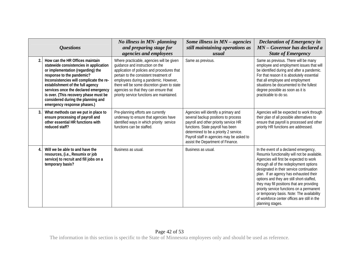|                  | <b>Questions</b>                                                                                                                                                                                                                                                                                                                                                                 | No illness in MN- planning<br>and preparing stage for<br>agencies and employees                                                                                                                                                                                                                                                                       | Some illness in $MN$ – agencies<br>still maintaining operations as<br>usual                                                                                                                                                                                                           | <b>Declaration of Emergency in</b><br>MN - Governor has declared a<br><b>State of Emergency</b>                                                                                                                                                                                                                                                                                                                                                                                                                             |
|------------------|----------------------------------------------------------------------------------------------------------------------------------------------------------------------------------------------------------------------------------------------------------------------------------------------------------------------------------------------------------------------------------|-------------------------------------------------------------------------------------------------------------------------------------------------------------------------------------------------------------------------------------------------------------------------------------------------------------------------------------------------------|---------------------------------------------------------------------------------------------------------------------------------------------------------------------------------------------------------------------------------------------------------------------------------------|-----------------------------------------------------------------------------------------------------------------------------------------------------------------------------------------------------------------------------------------------------------------------------------------------------------------------------------------------------------------------------------------------------------------------------------------------------------------------------------------------------------------------------|
| 2.               | How can the HR Offices maintain<br>statewide consistencies in application<br>or implementation (regarding) the<br>response to the pandemic?<br>Inconsistencies will complicate the re-<br>establishment of the full agency<br>services once the declared emergency<br>is over. (This recovery phase must be<br>considered during the planning and<br>emergency response phases.) | Where practicable, agencies will be given<br>quidance and instruction on the<br>application of policies and procedures that<br>pertain to the consistent treatment of<br>employees during a pandemic. However,<br>there will be some discretion given to state<br>agencies so that they can ensure that<br>priority service functions are maintained. | Same as previous.                                                                                                                                                                                                                                                                     | Same as previous. There will be many<br>employee and employment issues that will<br>be identified during and after a pandemic.<br>For that reason it is absolutely essential<br>that all employee and employment<br>situations be documented to the fullest<br>degree possible as soon as it is<br>practicable to do so.                                                                                                                                                                                                    |
| 3.               | What methods can we put in place to<br>ensure processing of payroll and<br>other essential HR functions with<br>reduced staff?                                                                                                                                                                                                                                                   | Pre-planning efforts are currently<br>underway to ensure that agencies have<br>identified ways in which priority service<br>functions can be staffed.                                                                                                                                                                                                 | Agencies will identify a primary and<br>several backup positions to process<br>payroll and other priority service HR<br>functions. State payroll has been<br>determined to be a priority 2 service.<br>Payroll staff in agencies may be asked to<br>assist the Department of Finance. | Agencies will be expected to work through<br>their plan of all possible alternatives to<br>ensure that payroll is processed and other<br>priority HR functions are addressed.                                                                                                                                                                                                                                                                                                                                               |
| $\overline{4}$ . | Will we be able to and have the<br>resources, (i.e., Resumix or job<br>service) to recruit and fill jobs on a<br>temporary basis?                                                                                                                                                                                                                                                | Business as usual.                                                                                                                                                                                                                                                                                                                                    | Business as usual.                                                                                                                                                                                                                                                                    | In the event of a declared emergency,<br>Resumix functionality will not be available.<br>Agencies will first be expected to work<br>through all of the redeployment options<br>designated in their service continuation<br>plan. If an agency has exhausted their<br>options and they are still short-staffed,<br>they may fill positions that are providing<br>priority service functions on a permanent<br>or temporary basis. Note: The availability<br>of workforce center offices are still in the<br>planning stages. |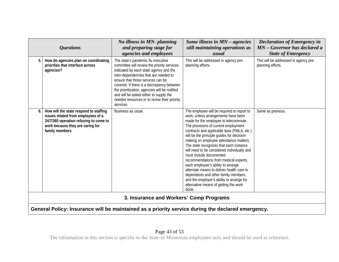|                                         | <b>Questions</b>                                                                                                                                                             | No illness in MN- planning<br>and preparing stage for<br>agencies and employees                                                                                                                                                                                                                                                                                                                                 | Some illness in $MN$ – agencies<br>still maintaining operations as<br>usual                                                                                                                                                                                                                                                                                                                                                                                                                                                                                                                                                                                                                      | <b>Declaration of Emergency in</b><br>$MN - Governor$ has declared a<br><b>State of Emergency</b> |
|-----------------------------------------|------------------------------------------------------------------------------------------------------------------------------------------------------------------------------|-----------------------------------------------------------------------------------------------------------------------------------------------------------------------------------------------------------------------------------------------------------------------------------------------------------------------------------------------------------------------------------------------------------------|--------------------------------------------------------------------------------------------------------------------------------------------------------------------------------------------------------------------------------------------------------------------------------------------------------------------------------------------------------------------------------------------------------------------------------------------------------------------------------------------------------------------------------------------------------------------------------------------------------------------------------------------------------------------------------------------------|---------------------------------------------------------------------------------------------------|
| 5.                                      | How do agencies plan on coordinating<br>priorities that interface across<br>agencies?                                                                                        | The state's pandemic flu executive<br>committee will review the priority services<br>indicated by each state agency and the<br>inter-dependencies that are needed to<br>ensure that those services can be<br>covered. If there is a discrepancy between<br>the prioritization, agencies will be notified<br>and will be asked either to supply the<br>needed resources or to revise their priority<br>services. | This will be addressed in agency pre-<br>planning efforts.                                                                                                                                                                                                                                                                                                                                                                                                                                                                                                                                                                                                                                       | This will be addressed in agency pre-<br>planning efforts.                                        |
|                                         | How will the state respond to staffing<br>issues related from employees of a<br>24/7/365 operation refusing to come to<br>work because they are caring for<br>family members | Business as usual.                                                                                                                                                                                                                                                                                                                                                                                              | The employee will be required to report to<br>work, unless arrangements have been<br>made for the employee to telecommute.<br>The provisions of current employment<br>contracts and applicable laws (FMLA, etc.)<br>will be the principle guides for decision-<br>making on employee attendance matters.<br>The state recognizes that each instance<br>will need to be considered individually and<br>must include documented<br>recommendations from medical experts,<br>each employee's ability to arrange<br>alternate means to deliver health care to<br>dependents and other family members,<br>and the employer's ability to arrange for<br>alternative means of getting the work<br>done. | Same as previous.                                                                                 |
| 3. Insurance and Workers' Comp Programs |                                                                                                                                                                              |                                                                                                                                                                                                                                                                                                                                                                                                                 |                                                                                                                                                                                                                                                                                                                                                                                                                                                                                                                                                                                                                                                                                                  |                                                                                                   |
|                                         |                                                                                                                                                                              |                                                                                                                                                                                                                                                                                                                                                                                                                 | General Policy: Insurance will be maintained as a priority service during the declared emergency.                                                                                                                                                                                                                                                                                                                                                                                                                                                                                                                                                                                                |                                                                                                   |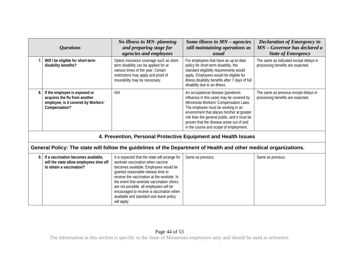|    | <b>Questions</b>                                                                                                       | No illness in MN- planning<br>and preparing stage for<br><i>agencies and employees</i>                                                                                                                                                                                                                                                                                                                             | Some illness in $MN$ – agencies<br>still maintaining operations as<br>usual                                                                                                                                                                                                                                                                       | <b>Declaration of Emergency in</b><br>MN – Governor has declared a<br><b>State of Emergency</b> |
|----|------------------------------------------------------------------------------------------------------------------------|--------------------------------------------------------------------------------------------------------------------------------------------------------------------------------------------------------------------------------------------------------------------------------------------------------------------------------------------------------------------------------------------------------------------|---------------------------------------------------------------------------------------------------------------------------------------------------------------------------------------------------------------------------------------------------------------------------------------------------------------------------------------------------|-------------------------------------------------------------------------------------------------|
|    | Will I be eligible for short-term<br>disability benefits?                                                              | Option insurance coverage such as short-<br>term disability can be applied for at<br>various times of the year. Certain<br>restrictions may apply and proof of<br>insurability may be necessary.                                                                                                                                                                                                                   | For employees that have an up-to-date<br>policy for short-term disability, the<br>standard eligibility requirements would<br>apply. Employees would be eligible for<br>illness disability benefits after 7 days of full<br>disability due to an illness.                                                                                          | The same as indicated except delays in<br>processing benefits are expected.                     |
| 8. | If the employee is exposed or<br>acquires the flu from another<br>employee, is it covered by Workers'<br>Compensation? | N/A                                                                                                                                                                                                                                                                                                                                                                                                                | An occupational disease (pandemic<br>influenza in this case) may be covered by<br>Minnesota Workers' Compensation Laws.<br>The employee must be working in an<br>environment that places him/her at greater<br>risk than the general public, and it must be<br>proven that the disease arose out of and<br>in the course and scope of employment. | The same as previous except delays in<br>processing benefits are expected.                      |
|    |                                                                                                                        |                                                                                                                                                                                                                                                                                                                                                                                                                    | 4. Prevention, Personal Protective Equipment and Health Issues                                                                                                                                                                                                                                                                                    |                                                                                                 |
|    |                                                                                                                        |                                                                                                                                                                                                                                                                                                                                                                                                                    | General Policy: The state will follow the guidelines of the Department of Health and other medical organizations.                                                                                                                                                                                                                                 |                                                                                                 |
| 9. | If a vaccination becomes available,<br>will the state allow employees time off<br>to obtain a vaccination?             | It is expected that the state will arrange for<br>worksite vaccination when vaccine<br>becomes available. Employees would be<br>granted reasonable release time to<br>receive the vaccination at the worksite. In<br>the event that worksite vaccination clinics<br>are not possible, all employees will be<br>encouraged to receive a vaccination when<br>available and standard sick leave policy<br>will apply. | Same as previous.                                                                                                                                                                                                                                                                                                                                 | Same as previous.                                                                               |

#### Page 44 of 53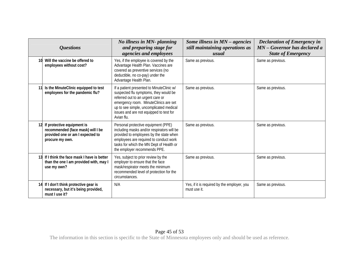| <b>Questions</b>                                                                                                       | No illness in MN- planning<br>and preparing stage for                                                                                                                                                                                                                | Some illness in MN - agencies<br>still maintaining operations as | <b>Declaration of Emergency in</b><br>MN - Governor has declared a |
|------------------------------------------------------------------------------------------------------------------------|----------------------------------------------------------------------------------------------------------------------------------------------------------------------------------------------------------------------------------------------------------------------|------------------------------------------------------------------|--------------------------------------------------------------------|
|                                                                                                                        | agencies and employees                                                                                                                                                                                                                                               | usual                                                            | <b>State of Emergency</b>                                          |
| 10 Will the vaccine be offered to<br>employees without cost?                                                           | Yes, if the employee is covered by the<br>Advantage Health Plan. Vaccines are<br>covered as preventive services (no<br>deductible, no co-pay) under the<br>Advantage Health Plan.                                                                                    | Same as previous.                                                | Same as previous.                                                  |
| Is the MinuteClinic equipped to test<br>employees for the pandemic flu?                                                | If a patient presented to MinuteClinic w/<br>suspected flu symptoms, they would be<br>referred out to an urgent care or<br>emergency room. MinuteClinics are set<br>up to see simple, uncomplicated medical<br>issues and are not equipped to test for<br>Avian flu. | Same as previous.                                                | Same as previous.                                                  |
| If protective equipment is<br>recommended (face mask) will I be<br>provided one or am I expected to<br>procure my own. | Personal protective equipment (PPE)<br>including masks and/or respirators will be<br>provided to employees by the state when<br>employees are required to conduct work<br>tasks for which the MN Dept of Health or<br>the employer recommends PPE.                   | Same as previous.                                                | Same as previous.                                                  |
| 13 If I think the face mask I have is better<br>than the one I am provided with, may I<br>use my own?                  | Yes, subject to prior review by the<br>employer to ensure that the face<br>mask/respirator meets the minimum<br>recommended level of protection for the<br>circumstances.                                                                                            | Same as previous.                                                | Same as previous.                                                  |
| 14 If I don't think protective gear is<br>necessary, but it's being provided,<br>must I use it?                        | N/A                                                                                                                                                                                                                                                                  | Yes, if it is required by the employer, you<br>must use it.      | Same as previous.                                                  |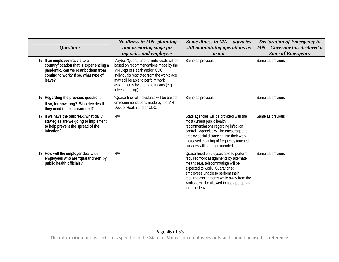|    | <i><b>Questions</b></i>                                                                                                                                        | No illness in MN- planning<br>and preparing stage for<br><i>agencies and employees</i>                                                                                                                                                                           | Some illness in $MN$ – agencies<br>still maintaining operations as<br>usual                                                                                                                                                                                                                               | <b>Declaration of Emergency in</b><br>MN - Governor has declared a<br><b>State of Emergency</b> |
|----|----------------------------------------------------------------------------------------------------------------------------------------------------------------|------------------------------------------------------------------------------------------------------------------------------------------------------------------------------------------------------------------------------------------------------------------|-----------------------------------------------------------------------------------------------------------------------------------------------------------------------------------------------------------------------------------------------------------------------------------------------------------|-------------------------------------------------------------------------------------------------|
|    | If an employee travels to a<br>country/location that is experiencing a<br>pandemic, can we restrict them from<br>coming to work? If so, what type of<br>leave? | Maybe. "Quarantine" of individuals will be<br>based on recommendations made by the<br>MN Dept of Health and/or CDC.<br>Individuals restricted from the workplace<br>may still be able to perform work<br>assignments by alternate means (e.g.<br>telecommuting). | Same as previous.                                                                                                                                                                                                                                                                                         | Same as previous.                                                                               |
| 16 | Regarding the previous question:<br>If so, for how long? Who decides if<br>they need to be quarantined?                                                        | "Quarantine" of individuals will be based<br>on recommendations made by the MN<br>Dept of Health and/or CDC.                                                                                                                                                     | Same as previous.                                                                                                                                                                                                                                                                                         | Same as previous.                                                                               |
|    | 17 If we have the outbreak, what daily<br>strategies are we going to implement<br>to help prevent the spread of the<br>infection?                              | N/A                                                                                                                                                                                                                                                              | State agencies will be provided with the<br>most current public health<br>recommendations regarding infection<br>control. Agencies will be encouraged to<br>employ social distancing into their work.<br>Increased cleaning of frequently touched<br>surfaces will be recommended.                        | Same as previous.                                                                               |
| 18 | How will the employer deal with<br>employees who are "quarantined" by<br>public health officials?                                                              | N/A                                                                                                                                                                                                                                                              | Quarantined employees able to perform<br>required work assignments by alternate<br>means (e.g. telecommuting) will be<br>expected to work. Quarantined<br>employees unable to perform their<br>required assignments while away from the<br>worksite will be allowed to use appropriate<br>forms of leave. | Same as previous.                                                                               |

#### Page 46 of 53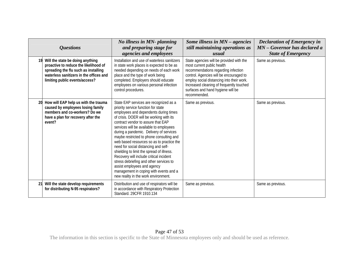|    | <i><b>Questions</b></i>                                                                                                                                                                        | No illness in MN- planning<br>and preparing stage for<br><i>agencies and employees</i>                                                                                                                                                                                                                                                                                                                                                                                                                                                                                                                                                                                              | Some illness in $MN$ – agencies<br>still maintaining operations as<br>usual                                                                                                                                                                                                                            | <b>Declaration of Emergency in</b><br>MN - Governor has declared a<br><b>State of Emergency</b> |
|----|------------------------------------------------------------------------------------------------------------------------------------------------------------------------------------------------|-------------------------------------------------------------------------------------------------------------------------------------------------------------------------------------------------------------------------------------------------------------------------------------------------------------------------------------------------------------------------------------------------------------------------------------------------------------------------------------------------------------------------------------------------------------------------------------------------------------------------------------------------------------------------------------|--------------------------------------------------------------------------------------------------------------------------------------------------------------------------------------------------------------------------------------------------------------------------------------------------------|-------------------------------------------------------------------------------------------------|
| 19 | Will the state be doing anything<br>proactive to reduce the likelihood of<br>spreading the flu such as installing<br>waterless sanitizers in the offices and<br>limiting public events/access? | Installation and use of waterless sanitizers<br>in state work places is expected to be as<br>needed depending on needs of each work<br>place and the type of work being<br>completed. Employers should educate<br>employees on various personal infection<br>control procedures.                                                                                                                                                                                                                                                                                                                                                                                                    | State agencies will be provided with the<br>most current public health<br>recommendations regarding infection<br>control. Agencies will be encouraged to<br>employ social distancing into their work.<br>Increased cleaning of frequently touched<br>surfaces and hand hygiene will be<br>recommended. | Same as previous.                                                                               |
|    | How will EAP help us with the trauma<br>caused by employees losing family<br>members and co-workers? Do we<br>have a plan for recovery after the<br>event?                                     | State EAP services are recognized as a<br>priority service function for state<br>employees and dependents during times<br>of crisis. DOER will be working with its<br>contract vendor to assure that EAP<br>services will be available to employees<br>during a pandemic. Delivery of services<br>maybe restricted to phone consulting and<br>web based resources so as to practice the<br>need for social distancing and self-<br>shielding to limit the spread of illness.<br>Recovery will include critical incident<br>stress debriefing and other services to<br>assist employees and agency<br>management in coping with events and a<br>new reality in the work environment. | Same as previous.                                                                                                                                                                                                                                                                                      | Same as previous.                                                                               |
| 21 | Will the state develop requirements<br>for distributing N-95 respirators?                                                                                                                      | Distribution and use of respirators will be<br>in accordance with Respiratory Protection<br>Standard. 29CFR 1910.134                                                                                                                                                                                                                                                                                                                                                                                                                                                                                                                                                                | Same as previous.                                                                                                                                                                                                                                                                                      | Same as previous.                                                                               |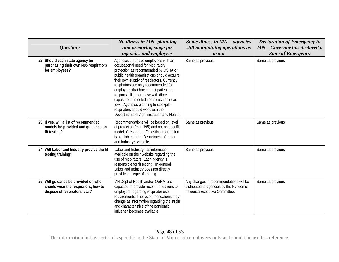|    | <b>Questions</b>                                                                                         | No illness in MN- planning<br>and preparing stage for<br>agencies and employees                                                                                                                                                                                                                                                                                                                                                                                                                               | Some illness in $MN$ – agencies<br>still maintaining operations as<br>usual                                         | <b>Declaration of Emergency in</b><br>MN - Governor has declared a<br><b>State of Emergency</b> |
|----|----------------------------------------------------------------------------------------------------------|---------------------------------------------------------------------------------------------------------------------------------------------------------------------------------------------------------------------------------------------------------------------------------------------------------------------------------------------------------------------------------------------------------------------------------------------------------------------------------------------------------------|---------------------------------------------------------------------------------------------------------------------|-------------------------------------------------------------------------------------------------|
| 22 | Should each state agency be<br>purchasing their own N95 respirators<br>for employees?                    | Agencies that have employees with an<br>occupational need for respiratory<br>protection as recommended by OSHA or<br>public health organizations should acquire<br>their own supply of respirators. Currently<br>respirators are only recommended for<br>employees that have direct patient care<br>responsibilities or those with direct<br>exposure to infected items such as dead<br>fowl. Agencies planning to stockpile<br>respirators should work with the<br>Departments of Administration and Health. | Same as previous.                                                                                                   | Same as previous.                                                                               |
| 23 | If yes, will a list of recommended<br>models be provided and guidance on<br>fit testing?                 | Recommendations will be based on level<br>of protection (e.g. N95) and not on specific<br>model of respirator. Fit testing information<br>is available on the Department of Labor<br>and Industry's website.                                                                                                                                                                                                                                                                                                  | Same as previous.                                                                                                   | Same as previous.                                                                               |
| 24 | Will Labor and Industry provide the fit<br>testing training?                                             | Labor and Industry has information<br>available on their website regarding the<br>use of respirators. Each agency is<br>responsible for fit testing. In general<br>Labor and Industry does not directly<br>provide this type of training.                                                                                                                                                                                                                                                                     | Same as previous.                                                                                                   | Same as previous.                                                                               |
| 25 | Will guidance be provided on who<br>should wear the respirators, how to<br>dispose of respirators, etc.? | MN Dept of Health and/or OSHA are<br>expected to provide recommendations to<br>employers regarding respirator use<br>requirements. The recommendations may<br>change as information regarding the strain<br>and characteristics of the pandemic<br>influenza becomes available.                                                                                                                                                                                                                               | Any changes in recommendations will be<br>distributed to agencies by the Pandemic<br>Influenza Executive Committee. | Same as previous.                                                                               |

#### Page 48 of 53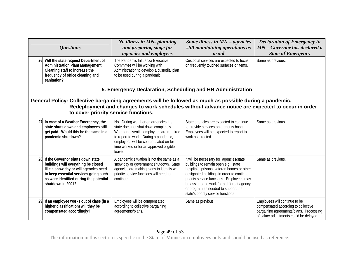|    | <i><b>Questions</b></i>                                                                                                                                                                                                                              | No illness in MN- planning<br>and preparing stage for<br>agencies and employees                                                                                                                                                                              | Some illness in $MN$ – agencies<br>still maintaining operations as<br>usual                                                                                                                                                                                                                                                                        | <b>Declaration of Emergency in</b><br>MN - Governor has declared a<br><b>State of Emergency</b>                                                            |
|----|------------------------------------------------------------------------------------------------------------------------------------------------------------------------------------------------------------------------------------------------------|--------------------------------------------------------------------------------------------------------------------------------------------------------------------------------------------------------------------------------------------------------------|----------------------------------------------------------------------------------------------------------------------------------------------------------------------------------------------------------------------------------------------------------------------------------------------------------------------------------------------------|------------------------------------------------------------------------------------------------------------------------------------------------------------|
|    | 26 Will the state request Department of<br><b>Administration Plant Management</b><br>Cleaning staff to increase the<br>frequency of office cleaning and<br>sanitation?                                                                               | The Pandemic Influenza Executive<br>Committee will be working with<br>Administration to develop a custodial plan<br>to be used during a pandemic.                                                                                                            | Custodial services are expected to focus<br>on frequently touched surfaces or items.                                                                                                                                                                                                                                                               | Same as previous.                                                                                                                                          |
|    |                                                                                                                                                                                                                                                      | 5. Emergency Declaration, Scheduling and HR Administration                                                                                                                                                                                                   |                                                                                                                                                                                                                                                                                                                                                    |                                                                                                                                                            |
|    | General Policy: Collective bargaining agreements will be followed as much as possible during a pandemic.<br>Redeployment and changes to work schedules without advance notice are expected to occur in order<br>to cover priority service functions. |                                                                                                                                                                                                                                                              |                                                                                                                                                                                                                                                                                                                                                    |                                                                                                                                                            |
| 27 | In case of a Weather Emergency, the<br>state shuts down and employees still<br>get paid. Would this be the same in a<br>pandemic shutdown?                                                                                                           | No. During weather emergencies the<br>state does not shut down completely.<br>Weather essential employees are required<br>to report to work. During a pandemic,<br>employees will be compensated on for<br>time worked or for an approved eligible<br>leave. | State agencies are expected to continue<br>to provide services on a priority basis.<br>Employees will be expected to report to<br>work as directed                                                                                                                                                                                                 | Same as previous.                                                                                                                                          |
|    | 28 If the Governor shuts down state<br>buildings will everything be closed<br>like a snow day or will agencies need<br>to keep essential services going such<br>as were identified during the potential<br>shutdown in 2001?                         | A pandemic situation is not the same as a<br>snow day or government shutdown. State<br>agencies are making plans to identify what<br>priority service functions will need to<br>continue.                                                                    | It will be necessary for agencies/state<br>buildings to remain open e.g., state<br>hospitals, prisons, veteran homes or other<br>designated buildings in order to continue<br>priority service functions. Employees may<br>be assigned to work for a different agency<br>or program as needed to support the<br>state's priority service functions | Same as previous.                                                                                                                                          |
| 29 | If an employee works out of class (in a<br>higher classification) will they be<br>compensated accordingly?                                                                                                                                           | Employees will be compensated<br>according to collective bargaining<br>agreements/plans.                                                                                                                                                                     | Same as previous.                                                                                                                                                                                                                                                                                                                                  | Employees will continue to be<br>compensated according to collective<br>bargaining agreements/plans. Processing<br>of salary adjustments could be delayed. |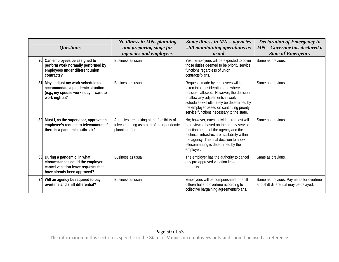|    | <i><b>Questions</b></i>                                                                                                              | No illness in MN- planning<br>and preparing stage for<br>agencies and employees                              | Some illness in $MN$ – agencies<br>still maintaining operations as<br>usual                                                                                                                                                                                                                      | <b>Declaration of Emergency in</b><br>MN - Governor has declared a<br><b>State of Emergency</b> |
|----|--------------------------------------------------------------------------------------------------------------------------------------|--------------------------------------------------------------------------------------------------------------|--------------------------------------------------------------------------------------------------------------------------------------------------------------------------------------------------------------------------------------------------------------------------------------------------|-------------------------------------------------------------------------------------------------|
| 30 | Can employees be assigned to<br>perform work normally performed by<br>employees under different union<br>contracts?                  | Business as usual.                                                                                           | Yes. Employees will be expected to cover<br>those duties deemed to be priority service<br>functions regardless of union<br>contracts/plans.                                                                                                                                                      | Same as previous.                                                                               |
| 31 | May I adjust my work schedule to<br>accommodate a pandemic situation<br>(e.g., my spouse works day; I want to<br>work nights)?       | Business as usual.                                                                                           | Requests made by employees will be<br>taken into consideration and where<br>possible, allowed. However, the decision<br>to allow any adjustments in work<br>schedules will ultimately be determined by<br>the employer based on continuing priority<br>service functions necessary to the state. | Same as previous.                                                                               |
| 32 | Must I, as the supervisor, approve an<br>employee's request to telecommute if<br>there is a pandemic outbreak?                       | Agencies are looking at the feasibility of<br>telecommuting as a part of their pandemic<br>planning efforts. | No; however, each individual request will<br>be reviewed based on the priority service<br>function needs of the agency and the<br>technical infrastructure availability within<br>the agency. The final decision to allow<br>telecommuting is determined by the<br>employer.                     | Same as previous.                                                                               |
| 33 | During a pandemic, in what<br>circumstances could the employer<br>cancel vacation leave requests that<br>have already been approved? | Business as usual.                                                                                           | The employer has the authority to cancel<br>any pre-approved vacation leave<br>requests.                                                                                                                                                                                                         | Same as previous.                                                                               |
| 34 | Will an agency be required to pay<br>overtime and shift differential?                                                                | Business as usual.                                                                                           | Employees will be compensated for shift<br>differential and overtime according to<br>collective bargaining agreements/plans.                                                                                                                                                                     | Same as previous. Payments for overtime<br>and shift differential may be delayed.               |

#### Page 50 of 53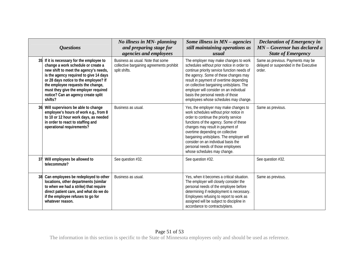|    | <b>Questions</b>                                                                                                                                                                                                                                                                                                                          | No illness in MN- planning<br>and preparing stage for<br>agencies and employees                 | Some illness in MN - agencies<br>still maintaining operations as<br>usual                                                                                                                                                                                                                                                                                                                           | <b>Declaration of Emergency in</b><br>MN - Governor has declared a<br><b>State of Emergency</b> |
|----|-------------------------------------------------------------------------------------------------------------------------------------------------------------------------------------------------------------------------------------------------------------------------------------------------------------------------------------------|-------------------------------------------------------------------------------------------------|-----------------------------------------------------------------------------------------------------------------------------------------------------------------------------------------------------------------------------------------------------------------------------------------------------------------------------------------------------------------------------------------------------|-------------------------------------------------------------------------------------------------|
|    | 35 If it is necessary for the employee to<br>change a work schedule or create a<br>new shift to meet the agency's needs,<br>is the agency required to give 14 days<br>or 28 days notice to the employee? If<br>the employee requests the change,<br>must they give the employer required<br>notice? Can an agency create split<br>shifts? | Business as usual. Note that some<br>collective bargaining agreements prohibit<br>split shifts. | The employer may make changes to work<br>schedules without prior notice in order to<br>continue priority service function needs of<br>the agency. Some of these changes may<br>result in payment of overtime depending<br>on collective bargaining units/plans. The<br>employer will consider on an individual<br>basis the personal needs of those<br>employees whose schedules may change.        | Same as previous. Payments may be<br>delayed or suspended in the Executive<br>order.            |
|    | Will supervisors be able to change<br>employee's hours of work e.g., from 8<br>to 10 or 12 hour work days, as needed<br>in order to react to staffing and<br>operational requirements?                                                                                                                                                    | Business as usual.                                                                              | Yes, the employer may make changes to<br>work schedules without prior notice in<br>order to continue the priority service<br>functions of the agency. Some of these<br>changes may result in payment of<br>overtime depending on collective<br>bargaining units/plans. The employer will<br>consider on an individual basis the<br>personal needs of those employees<br>whose schedules may change. | Same as previous.                                                                               |
| 37 | Will employees be allowed to<br>telecommute?                                                                                                                                                                                                                                                                                              | See question #32.                                                                               | See question #32.                                                                                                                                                                                                                                                                                                                                                                                   | See question #32.                                                                               |
| 38 | Can employees be redeployed to other<br>locations, other departments (similar<br>to when we had a strike) that require<br>direct patient care, and what do we do<br>if the employee refuses to go for<br>whatever reason.                                                                                                                 | Business as usual.                                                                              | Yes, when it becomes a critical situation.<br>The employer will closely consider the<br>personal needs of the employee before<br>determining if redeployment is necessary.<br>Employees refusing to report to work as<br>assigned will be subject to discipline in<br>accordance to contracts/plans.                                                                                                | Same as previous.                                                                               |

#### Page 51 of 53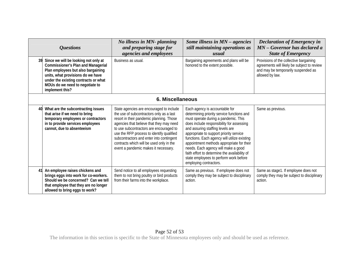|    | <i><b>Questions</b></i>                                                                                                                                                                                                                                    | No illness in MN- planning<br>and preparing stage for<br>agencies and employees                                                                                                                                                                                                                                                                                                                      | Some illness in $MN$ – agencies<br>still maintaining operations as<br>usual                                                                                                                                                                                                                                                                                                                                                                                                                               | <b>Declaration of Emergency in</b><br>MN - Governor has declared a<br><b>State of Emergency</b>                                                  |
|----|------------------------------------------------------------------------------------------------------------------------------------------------------------------------------------------------------------------------------------------------------------|------------------------------------------------------------------------------------------------------------------------------------------------------------------------------------------------------------------------------------------------------------------------------------------------------------------------------------------------------------------------------------------------------|-----------------------------------------------------------------------------------------------------------------------------------------------------------------------------------------------------------------------------------------------------------------------------------------------------------------------------------------------------------------------------------------------------------------------------------------------------------------------------------------------------------|--------------------------------------------------------------------------------------------------------------------------------------------------|
| 39 | Since we will be looking not only at<br><b>Commissioner's Plan and Managerial</b><br>Plan employees but also bargaining<br>units, what provisions do we have<br>under the existing contracts or what<br>MOUs do we need to negotiate to<br>implement this? | Business as usual.                                                                                                                                                                                                                                                                                                                                                                                   | Bargaining agreements and plans will be<br>honored to the extent possible.                                                                                                                                                                                                                                                                                                                                                                                                                                | Provisions of the collective bargaining<br>agreements will likely be subject to review<br>and may be temporarily suspended as<br>allowed by law. |
|    |                                                                                                                                                                                                                                                            | 6. Miscellaneous                                                                                                                                                                                                                                                                                                                                                                                     |                                                                                                                                                                                                                                                                                                                                                                                                                                                                                                           |                                                                                                                                                  |
| 40 | What are the subcontracting issues<br>that arise if we need to bring<br>temporary employees or contractors<br>in to provide services employees<br>cannot, due to absenteeism                                                                               | State agencies are encouraged to include<br>the use of subcontractors only as a last<br>resort in their pandemic planning. Those<br>agencies that believe that they may need<br>to use subcontractors are encouraged to<br>use the RFP process to identify qualified<br>subcontractors and enter into contingent<br>contracts which will be used only in the<br>event a pandemic makes it necessary. | Each agency is accountable for<br>determining priority service functions and<br>must operate during a pandemic. This<br>does include responsibility for assessing<br>and assuring staffing levels are<br>appropriate to support priority service<br>functions. Each agency will utilize existing<br>appointment methods appropriate for their<br>needs. Each agency will make a good<br>faith effort to determine the availability of<br>state employees to perform work before<br>employing contractors. | Same as previous.                                                                                                                                |
| 41 | An employee raises chickens and<br>brings eggs into work for co-workers.<br>Should we be concerned? Can we tell<br>that employee that they are no longer<br>allowed to bring eggs to work?                                                                 | Send notice to all employees requesting<br>them to not bring poultry or bird products<br>from their farms into the workplace.                                                                                                                                                                                                                                                                        | Same as previous. If employee does not<br>comply they may be subject to disciplinary<br>action.                                                                                                                                                                                                                                                                                                                                                                                                           | Same as stage1. If employee does not<br>comply they may be subject to disciplinary<br>action.                                                    |